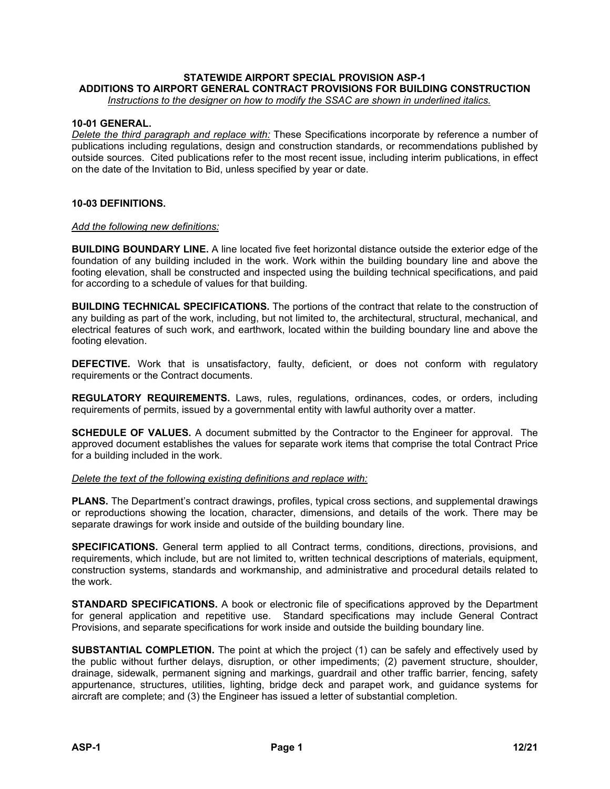# **STATEWIDE AIRPORT SPECIAL PROVISION ASP-1 ADDITIONS TO AIRPORT GENERAL CONTRACT PROVISIONS FOR BUILDING CONSTRUCTION**

*Instructions to the designer on how to modify the SSAC are shown in underlined italics.*

## **10-01 GENERAL.**

*Delete the third paragraph and replace with:* These Specifications incorporate by reference a number of publications including regulations, design and construction standards, or recommendations published by outside sources. Cited publications refer to the most recent issue, including interim publications, in effect on the date of the Invitation to Bid, unless specified by year or date.

## **10-03 DEFINITIONS.**

#### *Add the following new definitions:*

**BUILDING BOUNDARY LINE.** A line located five feet horizontal distance outside the exterior edge of the foundation of any building included in the work. Work within the building boundary line and above the footing elevation, shall be constructed and inspected using the building technical specifications, and paid for according to a schedule of values for that building.

**BUILDING TECHNICAL SPECIFICATIONS.** The portions of the contract that relate to the construction of any building as part of the work, including, but not limited to, the architectural, structural, mechanical, and electrical features of such work, and earthwork, located within the building boundary line and above the footing elevation.

**DEFECTIVE.** Work that is unsatisfactory, faulty, deficient, or does not conform with regulatory requirements or the Contract documents.

**REGULATORY REQUIREMENTS.** Laws, rules, regulations, ordinances, codes, or orders, including requirements of permits, issued by a governmental entity with lawful authority over a matter.

**SCHEDULE OF VALUES.** A document submitted by the Contractor to the Engineer for approval. The approved document establishes the values for separate work items that comprise the total Contract Price for a building included in the work.

#### *Delete the text of the following existing definitions and replace with:*

**PLANS.** The Department's contract drawings, profiles, typical cross sections, and supplemental drawings or reproductions showing the location, character, dimensions, and details of the work. There may be separate drawings for work inside and outside of the building boundary line.

**SPECIFICATIONS.** General term applied to all Contract terms, conditions, directions, provisions, and requirements, which include, but are not limited to, written technical descriptions of materials, equipment, construction systems, standards and workmanship, and administrative and procedural details related to the work.

**STANDARD SPECIFICATIONS.** A book or electronic file of specifications approved by the Department for general application and repetitive use. Standard specifications may include General Contract Provisions, and separate specifications for work inside and outside the building boundary line.

**SUBSTANTIAL COMPLETION.** The point at which the project (1) can be safely and effectively used by the public without further delays, disruption, or other impediments; (2) pavement structure, shoulder, drainage, sidewalk, permanent signing and markings, guardrail and other traffic barrier, fencing, safety appurtenance, structures, utilities, lighting, bridge deck and parapet work, and guidance systems for aircraft are complete; and (3) the Engineer has issued a letter of substantial completion.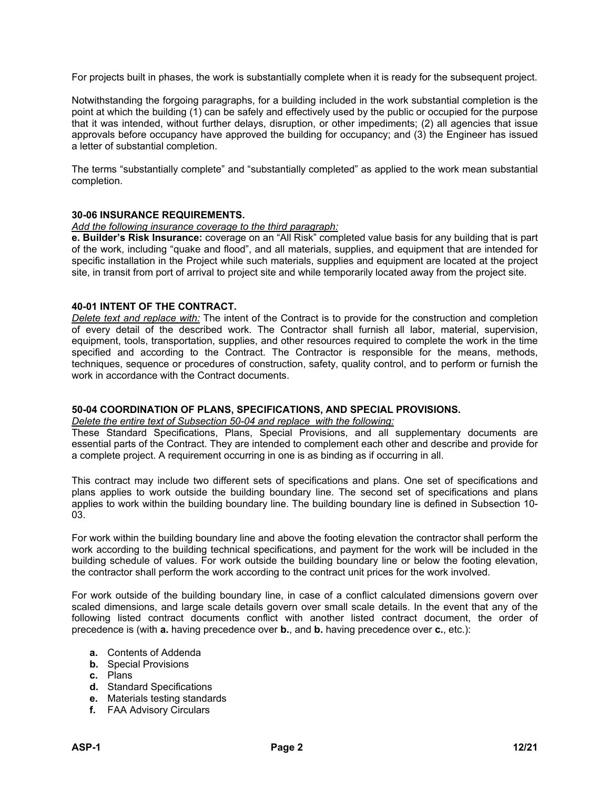For projects built in phases, the work is substantially complete when it is ready for the subsequent project.

Notwithstanding the forgoing paragraphs, for a building included in the work substantial completion is the point at which the building (1) can be safely and effectively used by the public or occupied for the purpose that it was intended, without further delays, disruption, or other impediments; (2) all agencies that issue approvals before occupancy have approved the building for occupancy; and (3) the Engineer has issued a letter of substantial completion.

The terms "substantially complete" and "substantially completed" as applied to the work mean substantial completion.

#### **30-06 INSURANCE REQUIREMENTS.**

#### *Add the following insurance coverage to the third paragraph:*

**e. Builder's Risk Insurance:** coverage on an "All Risk" completed value basis for any building that is part of the work, including "quake and flood", and all materials, supplies, and equipment that are intended for specific installation in the Project while such materials, supplies and equipment are located at the project site, in transit from port of arrival to project site and while temporarily located away from the project site.

#### **40-01 INTENT OF THE CONTRACT.**

*Delete text and replace with:* The intent of the Contract is to provide for the construction and completion of every detail of the described work. The Contractor shall furnish all labor, material, supervision, equipment, tools, transportation, supplies, and other resources required to complete the work in the time specified and according to the Contract. The Contractor is responsible for the means, methods, techniques, sequence or procedures of construction, safety, quality control, and to perform or furnish the work in accordance with the Contract documents.

#### **50-04 COORDINATION OF PLANS, SPECIFICATIONS, AND SPECIAL PROVISIONS.**

#### *Delete the entire text of Subsection 50-04 and replace with the following:*

These Standard Specifications, Plans, Special Provisions, and all supplementary documents are essential parts of the Contract. They are intended to complement each other and describe and provide for a complete project. A requirement occurring in one is as binding as if occurring in all.

This contract may include two different sets of specifications and plans. One set of specifications and plans applies to work outside the building boundary line. The second set of specifications and plans applies to work within the building boundary line. The building boundary line is defined in Subsection 10- 03.

For work within the building boundary line and above the footing elevation the contractor shall perform the work according to the building technical specifications, and payment for the work will be included in the building schedule of values. For work outside the building boundary line or below the footing elevation, the contractor shall perform the work according to the contract unit prices for the work involved.

For work outside of the building boundary line, in case of a conflict calculated dimensions govern over scaled dimensions, and large scale details govern over small scale details. In the event that any of the following listed contract documents conflict with another listed contract document, the order of precedence is (with **a.** having precedence over **b.**, and **b.** having precedence over **c.**, etc.):

- **a.** Contents of Addenda
- **b.** Special Provisions
- **c.** Plans
- **d.** Standard Specifications
- **e.** Materials testing standards
- **f.** FAA Advisory Circulars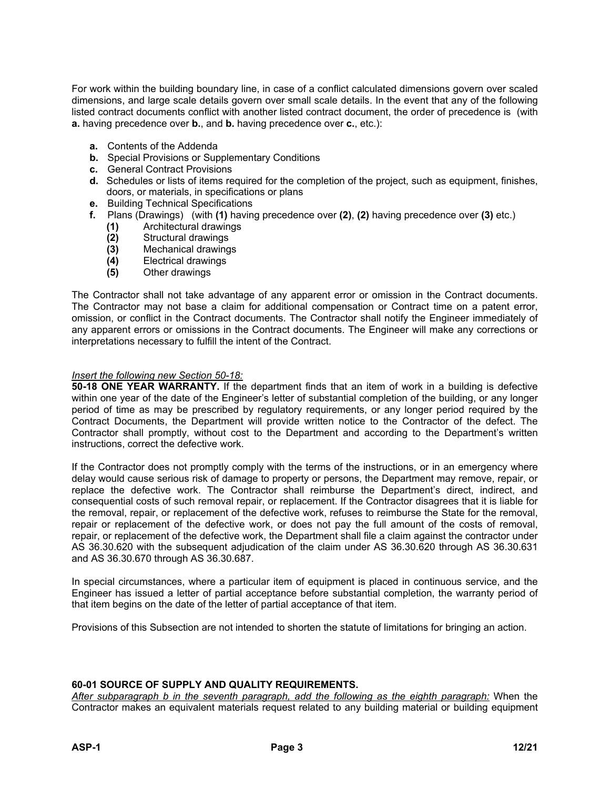For work within the building boundary line, in case of a conflict calculated dimensions govern over scaled dimensions, and large scale details govern over small scale details. In the event that any of the following listed contract documents conflict with another listed contract document, the order of precedence is (with **a.** having precedence over **b.**, and **b.** having precedence over **c.**, etc.):

- **a.** Contents of the Addenda
- **b.** Special Provisions or Supplementary Conditions
- **c.** General Contract Provisions
- **d.** Schedules or lists of items required for the completion of the project, such as equipment, finishes, doors, or materials, in specifications or plans
- **e.** Building Technical Specifications
- **f.** Plans (Drawings) (with **(1)** having precedence over **(2)**, **(2)** having precedence over **(3)** etc.)
	- **(1)** Architectural drawings
	- **(2)** Structural drawings
	- **(3)** Mechanical drawings
	- **(4)** Electrical drawings
	- **(5)** Other drawings

The Contractor shall not take advantage of any apparent error or omission in the Contract documents. The Contractor may not base a claim for additional compensation or Contract time on a patent error, omission, or conflict in the Contract documents. The Contractor shall notify the Engineer immediately of any apparent errors or omissions in the Contract documents. The Engineer will make any corrections or interpretations necessary to fulfill the intent of the Contract.

#### *Insert the following new Section 50-18:*

**50-18 ONE YEAR WARRANTY.** If the department finds that an item of work in a building is defective within one year of the date of the Engineer's letter of substantial completion of the building, or any longer period of time as may be prescribed by regulatory requirements, or any longer period required by the Contract Documents, the Department will provide written notice to the Contractor of the defect. The Contractor shall promptly, without cost to the Department and according to the Department's written instructions, correct the defective work.

If the Contractor does not promptly comply with the terms of the instructions, or in an emergency where delay would cause serious risk of damage to property or persons, the Department may remove, repair, or replace the defective work. The Contractor shall reimburse the Department's direct, indirect, and consequential costs of such removal repair, or replacement. If the Contractor disagrees that it is liable for the removal, repair, or replacement of the defective work, refuses to reimburse the State for the removal, repair or replacement of the defective work, or does not pay the full amount of the costs of removal, repair, or replacement of the defective work, the Department shall file a claim against the contractor under AS 36.30.620 with the subsequent adjudication of the claim under AS 36.30.620 through AS 36.30.631 and AS 36.30.670 through AS 36.30.687.

In special circumstances, where a particular item of equipment is placed in continuous service, and the Engineer has issued a letter of partial acceptance before substantial completion, the warranty period of that item begins on the date of the letter of partial acceptance of that item.

Provisions of this Subsection are not intended to shorten the statute of limitations for bringing an action.

## **60-01 SOURCE OF SUPPLY AND QUALITY REQUIREMENTS.**

*After subparagraph b in the seventh paragraph, add the following as the eighth paragraph:* When the Contractor makes an equivalent materials request related to any building material or building equipment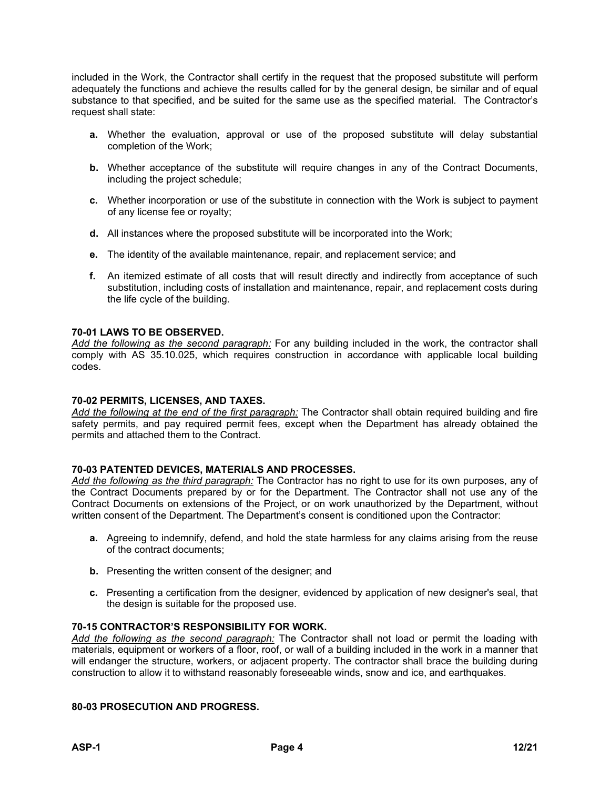included in the Work, the Contractor shall certify in the request that the proposed substitute will perform adequately the functions and achieve the results called for by the general design, be similar and of equal substance to that specified, and be suited for the same use as the specified material. The Contractor's request shall state:

- **a.** Whether the evaluation, approval or use of the proposed substitute will delay substantial completion of the Work;
- **b.** Whether acceptance of the substitute will require changes in any of the Contract Documents, including the project schedule;
- **c.** Whether incorporation or use of the substitute in connection with the Work is subject to payment of any license fee or royalty;
- **d.** All instances where the proposed substitute will be incorporated into the Work;
- **e.** The identity of the available maintenance, repair, and replacement service; and
- **f.** An itemized estimate of all costs that will result directly and indirectly from acceptance of such substitution, including costs of installation and maintenance, repair, and replacement costs during the life cycle of the building.

#### **70-01 LAWS TO BE OBSERVED.**

*Add the following as the second paragraph:* For any building included in the work, the contractor shall comply with AS 35.10.025, which requires construction in accordance with applicable local building codes.

#### **70-02 PERMITS, LICENSES, AND TAXES.**

*Add the following at the end of the first paragraph:* The Contractor shall obtain required building and fire safety permits, and pay required permit fees, except when the Department has already obtained the permits and attached them to the Contract.

#### **70-03 PATENTED DEVICES, MATERIALS AND PROCESSES.**

*Add the following as the third paragraph:* The Contractor has no right to use for its own purposes, any of the Contract Documents prepared by or for the Department. The Contractor shall not use any of the Contract Documents on extensions of the Project, or on work unauthorized by the Department, without written consent of the Department. The Department's consent is conditioned upon the Contractor:

- **a.** Agreeing to indemnify, defend, and hold the state harmless for any claims arising from the reuse of the contract documents;
- **b.** Presenting the written consent of the designer; and
- **c.** Presenting a certification from the designer, evidenced by application of new designer's seal, that the design is suitable for the proposed use.

#### **70-15 CONTRACTOR'S RESPONSIBILITY FOR WORK.**

*Add the following as the second paragraph:* The Contractor shall not load or permit the loading with materials, equipment or workers of a floor, roof, or wall of a building included in the work in a manner that will endanger the structure, workers, or adjacent property. The contractor shall brace the building during construction to allow it to withstand reasonably foreseeable winds, snow and ice, and earthquakes.

## **80-03 PROSECUTION AND PROGRESS.**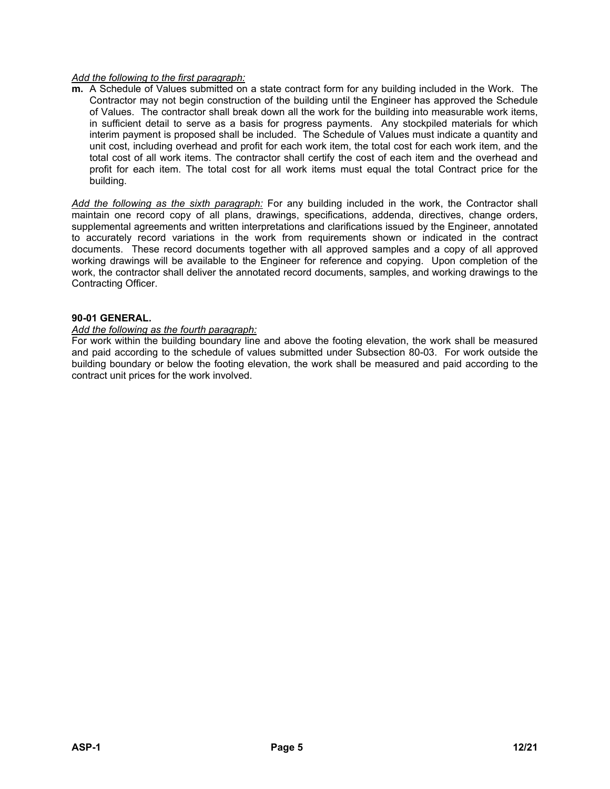#### *Add the following to the first paragraph:*

**m.** A Schedule of Values submitted on a state contract form for any building included in the Work. The Contractor may not begin construction of the building until the Engineer has approved the Schedule of Values. The contractor shall break down all the work for the building into measurable work items, in sufficient detail to serve as a basis for progress payments. Any stockpiled materials for which interim payment is proposed shall be included. The Schedule of Values must indicate a quantity and unit cost, including overhead and profit for each work item, the total cost for each work item, and the total cost of all work items. The contractor shall certify the cost of each item and the overhead and profit for each item. The total cost for all work items must equal the total Contract price for the building.

*Add the following as the sixth paragraph:* For any building included in the work, the Contractor shall maintain one record copy of all plans, drawings, specifications, addenda, directives, change orders, supplemental agreements and written interpretations and clarifications issued by the Engineer, annotated to accurately record variations in the work from requirements shown or indicated in the contract documents. These record documents together with all approved samples and a copy of all approved working drawings will be available to the Engineer for reference and copying. Upon completion of the work, the contractor shall deliver the annotated record documents, samples, and working drawings to the Contracting Officer.

## **90-01 GENERAL.**

#### *Add the following as the fourth paragraph:*

For work within the building boundary line and above the footing elevation, the work shall be measured and paid according to the schedule of values submitted under Subsection 80-03. For work outside the building boundary or below the footing elevation, the work shall be measured and paid according to the contract unit prices for the work involved.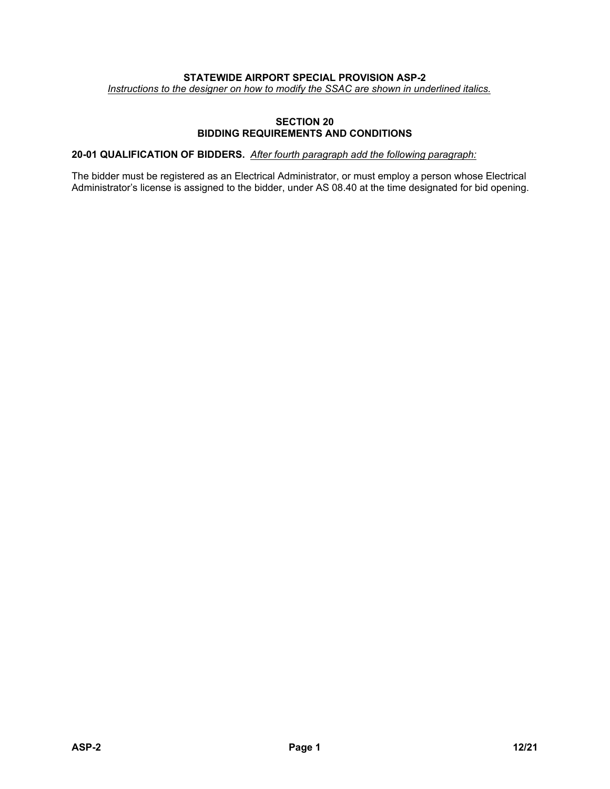## **STATEWIDE AIRPORT SPECIAL PROVISION ASP-2**

*Instructions to the designer on how to modify the SSAC are shown in underlined italics.*

## **SECTION 20 BIDDING REQUIREMENTS AND CONDITIONS**

## **20-01 QUALIFICATION OF BIDDERS.** *After fourth paragraph add the following paragraph:*

The bidder must be registered as an Electrical Administrator, or must employ a person whose Electrical Administrator's license is assigned to the bidder, under AS 08.40 at the time designated for bid opening.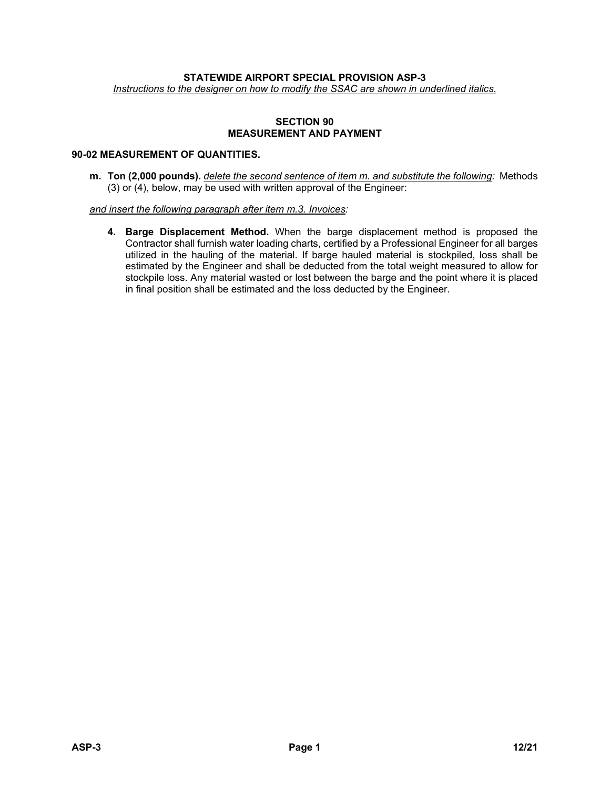#### **STATEWIDE AIRPORT SPECIAL PROVISION ASP-3**

*Instructions to the designer on how to modify the SSAC are shown in underlined italics.*

#### **SECTION 90 MEASUREMENT AND PAYMENT**

## **90-02 MEASUREMENT OF QUANTITIES.**

**m. Ton (2,000 pounds).** *delete the second sentence of item m. and substitute the following:* Methods (3) or (4), below, may be used with written approval of the Engineer:

*and insert the following paragraph after item m.3. Invoices:*

**4. Barge Displacement Method.** When the barge displacement method is proposed the Contractor shall furnish water loading charts, certified by a Professional Engineer for all barges utilized in the hauling of the material. If barge hauled material is stockpiled, loss shall be estimated by the Engineer and shall be deducted from the total weight measured to allow for stockpile loss. Any material wasted or lost between the barge and the point where it is placed in final position shall be estimated and the loss deducted by the Engineer.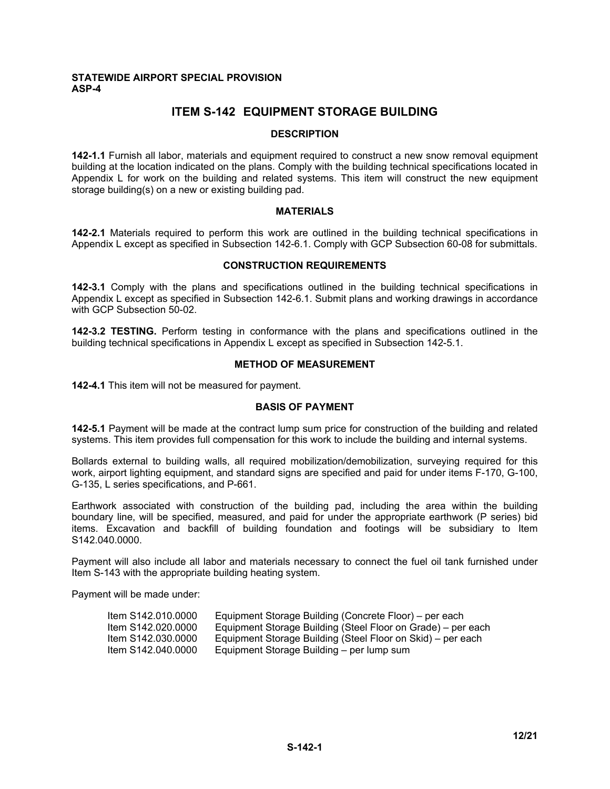#### **STATEWIDE AIRPORT SPECIAL PROVISION ASP-4**

# **ITEM S-142 EQUIPMENT STORAGE BUILDING**

#### **DESCRIPTION**

**142-1.1** Furnish all labor, materials and equipment required to construct a new snow removal equipment building at the location indicated on the plans. Comply with the building technical specifications located in Appendix L for work on the building and related systems. This item will construct the new equipment storage building(s) on a new or existing building pad.

#### **MATERIALS**

**142-2.1** Materials required to perform this work are outlined in the building technical specifications in Appendix L except as specified in Subsection 142-6.1. Comply with GCP Subsection 60-08 for submittals.

#### **CONSTRUCTION REQUIREMENTS**

**142-3.1** Comply with the plans and specifications outlined in the building technical specifications in Appendix L except as specified in Subsection 142-6.1. Submit plans and working drawings in accordance with GCP Subsection 50-02.

**142-3.2 TESTING.** Perform testing in conformance with the plans and specifications outlined in the building technical specifications in Appendix L except as specified in Subsection 142-5.1.

## **METHOD OF MEASUREMENT**

**142-4.1** This item will not be measured for payment.

#### **BASIS OF PAYMENT**

**142-5.1** Payment will be made at the contract lump sum price for construction of the building and related systems. This item provides full compensation for this work to include the building and internal systems.

Bollards external to building walls, all required mobilization/demobilization, surveying required for this work, airport lighting equipment, and standard signs are specified and paid for under items F-170, G-100, G-135, L series specifications, and P-661.

Earthwork associated with construction of the building pad, including the area within the building boundary line, will be specified, measured, and paid for under the appropriate earthwork (P series) bid items. Excavation and backfill of building foundation and footings will be subsidiary to Item S142.040.0000.

Payment will also include all labor and materials necessary to connect the fuel oil tank furnished under Item S-143 with the appropriate building heating system.

Payment will be made under:

| Item S142,010,0000 | Equipment Storage Building (Concrete Floor) – per each       |
|--------------------|--------------------------------------------------------------|
| Item S142.020.0000 | Equipment Storage Building (Steel Floor on Grade) – per each |
| Item S142,030,0000 | Equipment Storage Building (Steel Floor on Skid) – per each  |
| Item S142,040,0000 | Equipment Storage Building – per lump sum                    |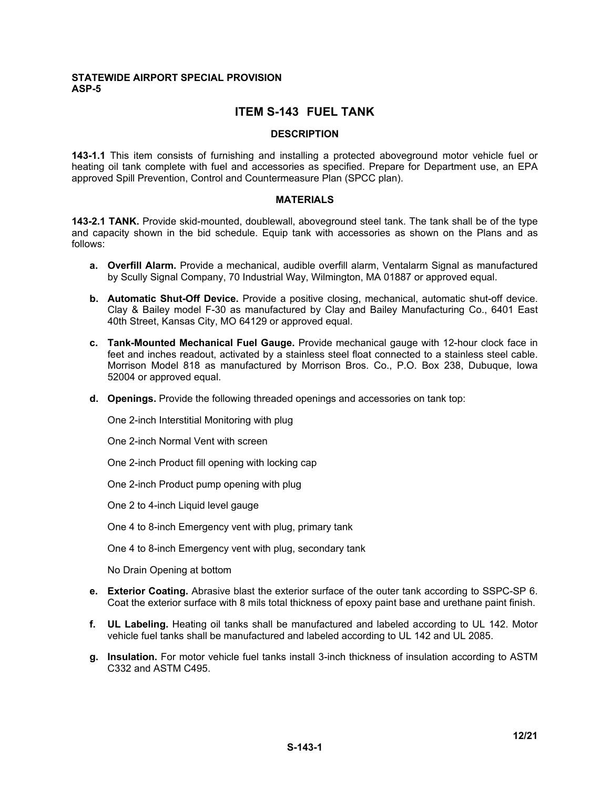#### **STATEWIDE AIRPORT SPECIAL PROVISION ASP-5**

# **ITEM S-143 FUEL TANK**

#### **DESCRIPTION**

**143-1.1** This item consists of furnishing and installing a protected aboveground motor vehicle fuel or heating oil tank complete with fuel and accessories as specified. Prepare for Department use, an EPA approved Spill Prevention, Control and Countermeasure Plan (SPCC plan).

#### **MATERIALS**

**143-2.1 TANK.** Provide skid-mounted, doublewall, aboveground steel tank. The tank shall be of the type and capacity shown in the bid schedule. Equip tank with accessories as shown on the Plans and as follows:

- **a. Overfill Alarm.** Provide a mechanical, audible overfill alarm, Ventalarm Signal as manufactured by Scully Signal Company, 70 Industrial Way, Wilmington, MA 01887 or approved equal.
- **b. Automatic Shut-Off Device.** Provide a positive closing, mechanical, automatic shut-off device. Clay & Bailey model F-30 as manufactured by Clay and Bailey Manufacturing Co., 6401 East 40th Street, Kansas City, MO 64129 or approved equal.
- **c. Tank-Mounted Mechanical Fuel Gauge.** Provide mechanical gauge with 12-hour clock face in feet and inches readout, activated by a stainless steel float connected to a stainless steel cable. Morrison Model 818 as manufactured by Morrison Bros. Co., P.O. Box 238, Dubuque, Iowa 52004 or approved equal.
- **d. Openings.** Provide the following threaded openings and accessories on tank top:

One 2-inch Interstitial Monitoring with plug

One 2-inch Normal Vent with screen

One 2-inch Product fill opening with locking cap

One 2-inch Product pump opening with plug

One 2 to 4-inch Liquid level gauge

One 4 to 8-inch Emergency vent with plug, primary tank

One 4 to 8-inch Emergency vent with plug, secondary tank

No Drain Opening at bottom

- **e. Exterior Coating.** Abrasive blast the exterior surface of the outer tank according to SSPC-SP 6. Coat the exterior surface with 8 mils total thickness of epoxy paint base and urethane paint finish.
- **f. UL Labeling.** Heating oil tanks shall be manufactured and labeled according to UL 142. Motor vehicle fuel tanks shall be manufactured and labeled according to UL 142 and UL 2085.
- **g. Insulation.** For motor vehicle fuel tanks install 3-inch thickness of insulation according to ASTM C332 and ASTM C495.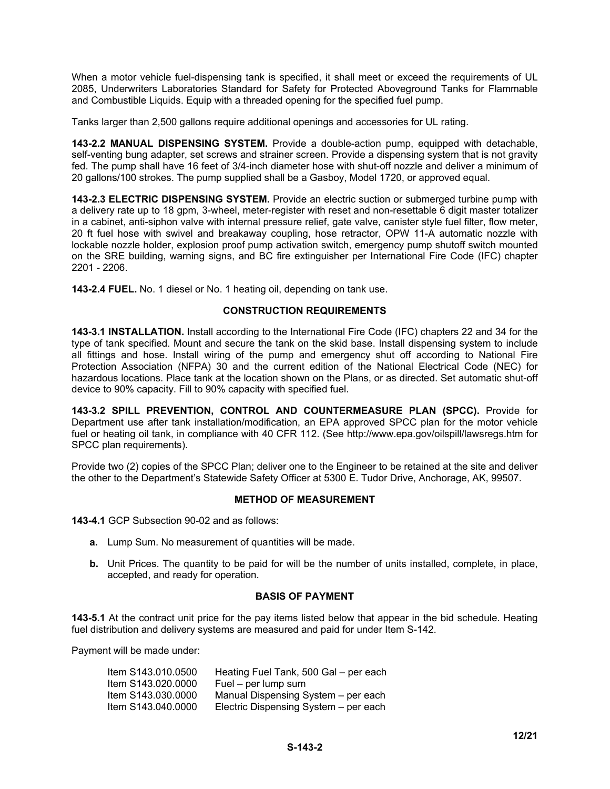When a motor vehicle fuel-dispensing tank is specified, it shall meet or exceed the requirements of UL 2085, Underwriters Laboratories Standard for Safety for Protected Aboveground Tanks for Flammable and Combustible Liquids. Equip with a threaded opening for the specified fuel pump.

Tanks larger than 2,500 gallons require additional openings and accessories for UL rating.

**143-2.2 MANUAL DISPENSING SYSTEM.** Provide a double-action pump, equipped with detachable, self-venting bung adapter, set screws and strainer screen. Provide a dispensing system that is not gravity fed. The pump shall have 16 feet of 3/4-inch diameter hose with shut-off nozzle and deliver a minimum of 20 gallons/100 strokes. The pump supplied shall be a Gasboy, Model 1720, or approved equal.

**143-2.3 ELECTRIC DISPENSING SYSTEM.** Provide an electric suction or submerged turbine pump with a delivery rate up to 18 gpm, 3-wheel, meter-register with reset and non-resettable 6 digit master totalizer in a cabinet, anti-siphon valve with internal pressure relief, gate valve, canister style fuel filter, flow meter, 20 ft fuel hose with swivel and breakaway coupling, hose retractor, OPW 11-A automatic nozzle with lockable nozzle holder, explosion proof pump activation switch, emergency pump shutoff switch mounted on the SRE building, warning signs, and BC fire extinguisher per International Fire Code (IFC) chapter 2201 - 2206.

**143-2.4 FUEL.** No. 1 diesel or No. 1 heating oil, depending on tank use.

#### **CONSTRUCTION REQUIREMENTS**

**143-3.1 INSTALLATION.** Install according to the International Fire Code (IFC) chapters 22 and 34 for the type of tank specified. Mount and secure the tank on the skid base. Install dispensing system to include all fittings and hose. Install wiring of the pump and emergency shut off according to National Fire Protection Association (NFPA) 30 and the current edition of the National Electrical Code (NEC) for hazardous locations. Place tank at the location shown on the Plans, or as directed. Set automatic shut-off device to 90% capacity. Fill to 90% capacity with specified fuel.

**143-3.2 SPILL PREVENTION, CONTROL AND COUNTERMEASURE PLAN (SPCC).** Provide for Department use after tank installation/modification, an EPA approved SPCC plan for the motor vehicle fuel or heating oil tank, in compliance with 40 CFR 112. (See http://www.epa.gov/oilspill/lawsregs.htm for SPCC plan requirements).

Provide two (2) copies of the SPCC Plan; deliver one to the Engineer to be retained at the site and deliver the other to the Department's Statewide Safety Officer at 5300 E. Tudor Drive, Anchorage, AK, 99507.

#### **METHOD OF MEASUREMENT**

**143-4.1** GCP Subsection 90-02 and as follows:

- **a.** Lump Sum. No measurement of quantities will be made.
- **b.** Unit Prices. The quantity to be paid for will be the number of units installed, complete, in place, accepted, and ready for operation.

#### **BASIS OF PAYMENT**

**143-5.1** At the contract unit price for the pay items listed below that appear in the bid schedule. Heating fuel distribution and delivery systems are measured and paid for under Item S-142.

Payment will be made under:

| Heating Fuel Tank, 500 Gal - per each |
|---------------------------------------|
| Fuel – per lump sum                   |
| Manual Dispensing System - per each   |
| Electric Dispensing System - per each |
|                                       |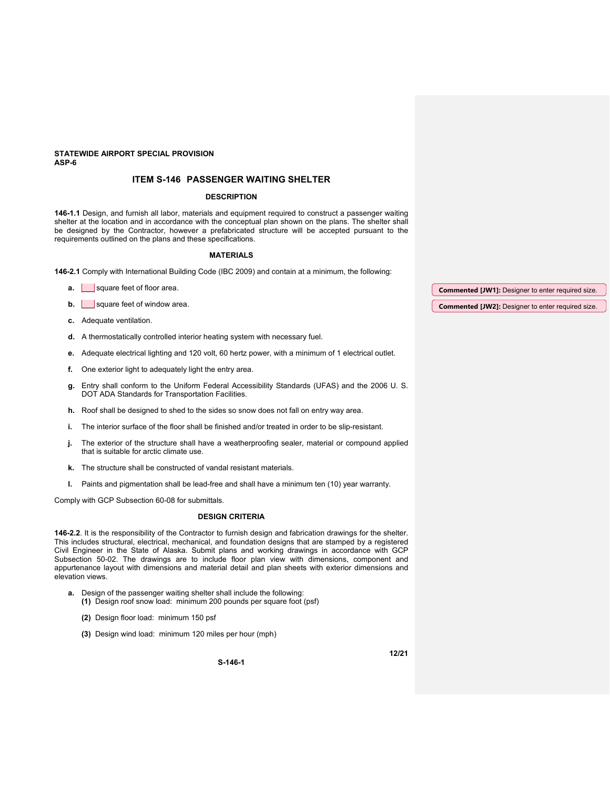#### **STATEWIDE AIRPORT SPECIAL PROVISION ASP-6**

#### **ITEM S-146 PASSENGER WAITING SHELTER**

#### **DESCRIPTION**

**146-1.1** Design, and furnish all labor, materials and equipment required to construct a passenger waiting shelter at the location and in accordance with the conceptual plan shown on the plans. The shelter shall be designed by the Contractor, however a prefabricated structure will be accepted pursuant to the requirements outlined on the plans and these specifications.

#### **MATERIALS**

**146-2.1** Comply with International Building Code (IBC 2009) and contain at a minimum, the following:

| а. | square feet of floor area.  | <b>Commented [JW1]:</b> Designer to enter required size. |
|----|-----------------------------|----------------------------------------------------------|
| b. | square feet of window area. | <b>Commented [JW2]:</b> Designer to enter required size. |

**c.** Adequate ventilation.

- **d.** A thermostatically controlled interior heating system with necessary fuel.
- **e.** Adequate electrical lighting and 120 volt, 60 hertz power, with a minimum of 1 electrical outlet.
- **f.** One exterior light to adequately light the entry area.
- **g.** Entry shall conform to the Uniform Federal Accessibility Standards (UFAS) and the 2006 U. S. DOT ADA Standards for Transportation Facilities.
- **h.** Roof shall be designed to shed to the sides so snow does not fall on entry way area.
- **i.** The interior surface of the floor shall be finished and/or treated in order to be slip-resistant.
- **j.** The exterior of the structure shall have a weatherproofing sealer, material or compound applied that is suitable for arctic climate use.
- **k.** The structure shall be constructed of vandal resistant materials.
- **l.** Paints and pigmentation shall be lead-free and shall have a minimum ten (10) year warranty.

Comply with GCP Subsection 60-08 for submittals.

#### **DESIGN CRITERIA**

**146-2.2**. It is the responsibility of the Contractor to furnish design and fabrication drawings for the shelter. This includes structural, electrical, mechanical, and foundation designs that are stamped by a registered Civil Engineer in the State of Alaska. Submit plans and working drawings in accordance with GCP Subsection 50-02. The drawings are to include floor plan view with dimensions, component and appurtenance layout with dimensions and material detail and plan sheets with exterior dimensions and elevation views.

**S-146-1**

- **a.** Design of the passenger waiting shelter shall include the following: **(1)** Design roof snow load: minimum 200 pounds per square foot (psf)
	- **(2)** Design floor load: minimum 150 psf
	- **(3)** Design wind load: minimum 120 miles per hour (mph)

**12/21**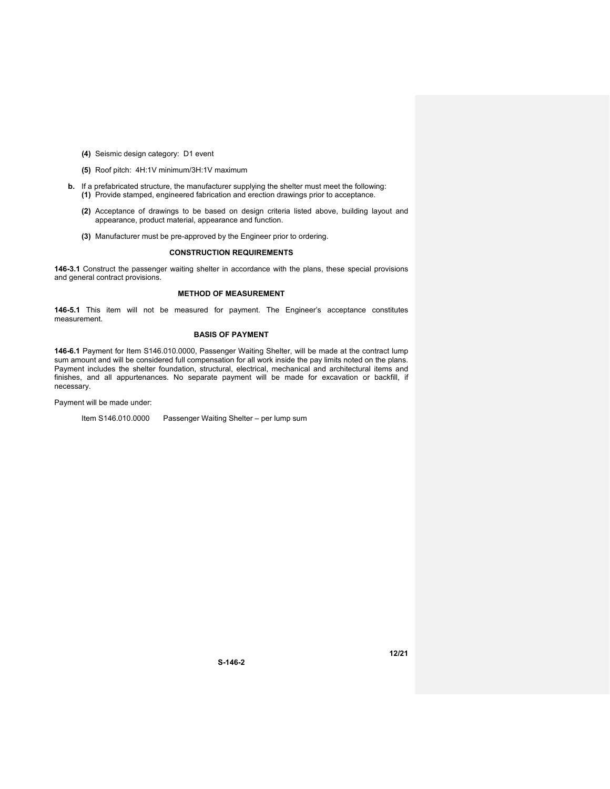- **(4)** Seismic design category: D1 event
- **(5)** Roof pitch: 4H:1V minimum/3H:1V maximum
- **b.** If a prefabricated structure, the manufacturer supplying the shelter must meet the following: **(1)** Provide stamped, engineered fabrication and erection drawings prior to acceptance.
	- **(2)** Acceptance of drawings to be based on design criteria listed above, building layout and appearance, product material, appearance and function.
	- **(3)** Manufacturer must be pre-approved by the Engineer prior to ordering.

#### **CONSTRUCTION REQUIREMENTS**

**146-3.1** Construct the passenger waiting shelter in accordance with the plans, these special provisions and general contract provisions.

#### **METHOD OF MEASUREMENT**

**146-5.1** This item will not be measured for payment. The Engineer's acceptance constitutes measurement.

#### **BASIS OF PAYMENT**

**146-6.1** Payment for Item S146.010.0000, Passenger Waiting Shelter, will be made at the contract lump sum amount and will be considered full compensation for all work inside the pay limits noted on the plans. Payment includes the shelter foundation, structural, electrical, mechanical and architectural items and finishes, and all appurtenances. No separate payment will be made for excavation or backfill, if necessary.

Payment will be made under:

Item S146.010.0000 Passenger Waiting Shelter – per lump sum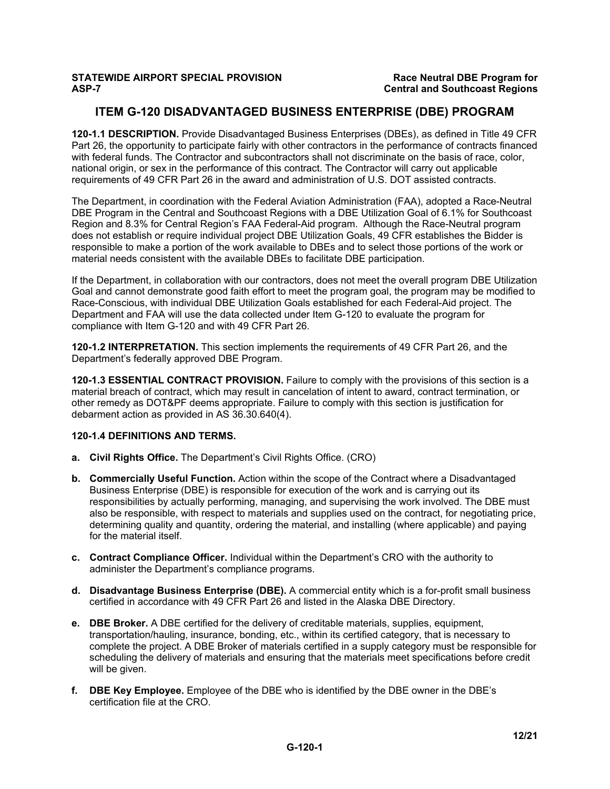# **ITEM G-120 DISADVANTAGED BUSINESS ENTERPRISE (DBE) PROGRAM**

**120-1.1 DESCRIPTION.** Provide Disadvantaged Business Enterprises (DBEs), as defined in Title 49 CFR Part 26, the opportunity to participate fairly with other contractors in the performance of contracts financed with federal funds. The Contractor and subcontractors shall not discriminate on the basis of race, color, national origin, or sex in the performance of this contract. The Contractor will carry out applicable requirements of 49 CFR Part 26 in the award and administration of U.S. DOT assisted contracts.

The Department, in coordination with the Federal Aviation Administration (FAA), adopted a Race-Neutral DBE Program in the Central and Southcoast Regions with a DBE Utilization Goal of 6.1% for Southcoast Region and 8.3% for Central Region's FAA Federal-Aid program. Although the Race-Neutral program does not establish or require individual project DBE Utilization Goals, 49 CFR establishes the Bidder is responsible to make a portion of the work available to DBEs and to select those portions of the work or material needs consistent with the available DBEs to facilitate DBE participation.

If the Department, in collaboration with our contractors, does not meet the overall program DBE Utilization Goal and cannot demonstrate good faith effort to meet the program goal, the program may be modified to Race-Conscious, with individual DBE Utilization Goals established for each Federal-Aid project. The Department and FAA will use the data collected under Item G-120 to evaluate the program for compliance with Item G-120 and with 49 CFR Part 26.

**120-1.2 INTERPRETATION.** This section implements the requirements of 49 CFR Part 26, and the Department's federally approved DBE Program.

**120-1.3 ESSENTIAL CONTRACT PROVISION.** Failure to comply with the provisions of this section is a material breach of contract, which may result in cancelation of intent to award, contract termination, or other remedy as DOT&PF deems appropriate. Failure to comply with this section is justification for debarment action as provided in AS 36.30.640(4).

## **120-1.4 DEFINITIONS AND TERMS.**

- **a. Civil Rights Office.** The Department's Civil Rights Office. (CRO)
- **b. Commercially Useful Function.** Action within the scope of the Contract where a Disadvantaged Business Enterprise (DBE) is responsible for execution of the work and is carrying out its responsibilities by actually performing, managing, and supervising the work involved. The DBE must also be responsible, with respect to materials and supplies used on the contract, for negotiating price, determining quality and quantity, ordering the material, and installing (where applicable) and paying for the material itself.
- **c. Contract Compliance Officer.** Individual within the Department's CRO with the authority to administer the Department's compliance programs.
- **d. Disadvantage Business Enterprise (DBE).** A commercial entity which is a for-profit small business certified in accordance with 49 CFR Part 26 and listed in the Alaska DBE Directory.
- **e. DBE Broker.** A DBE certified for the delivery of creditable materials, supplies, equipment, transportation/hauling, insurance, bonding, etc., within its certified category, that is necessary to complete the project. A DBE Broker of materials certified in a supply category must be responsible for scheduling the delivery of materials and ensuring that the materials meet specifications before credit will be given.
- **f. DBE Key Employee.** Employee of the DBE who is identified by the DBE owner in the DBE's certification file at the CRO.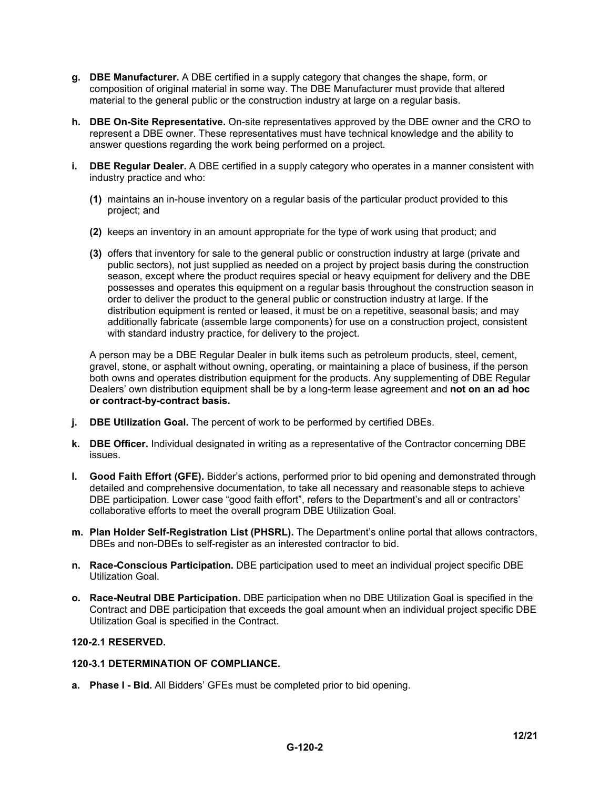- **g. DBE Manufacturer.** A DBE certified in a supply category that changes the shape, form, or composition of original material in some way. The DBE Manufacturer must provide that altered material to the general public or the construction industry at large on a regular basis.
- **h. DBE On-Site Representative.** On-site representatives approved by the DBE owner and the CRO to represent a DBE owner. These representatives must have technical knowledge and the ability to answer questions regarding the work being performed on a project.
- **i. DBE Regular Dealer.** A DBE certified in a supply category who operates in a manner consistent with industry practice and who:
	- **(1)** maintains an in-house inventory on a regular basis of the particular product provided to this project; and
	- **(2)** keeps an inventory in an amount appropriate for the type of work using that product; and
	- **(3)** offers that inventory for sale to the general public or construction industry at large (private and public sectors), not just supplied as needed on a project by project basis during the construction season, except where the product requires special or heavy equipment for delivery and the DBE possesses and operates this equipment on a regular basis throughout the construction season in order to deliver the product to the general public or construction industry at large. If the distribution equipment is rented or leased, it must be on a repetitive, seasonal basis; and may additionally fabricate (assemble large components) for use on a construction project, consistent with standard industry practice, for delivery to the project.

A person may be a DBE Regular Dealer in bulk items such as petroleum products, steel, cement, gravel, stone, or asphalt without owning, operating, or maintaining a place of business, if the person both owns and operates distribution equipment for the products. Any supplementing of DBE Regular Dealers' own distribution equipment shall be by a long-term lease agreement and **not on an ad hoc or contract-by-contract basis.**

- **j. DBE Utilization Goal.** The percent of work to be performed by certified DBEs.
- **k. DBE Officer.** Individual designated in writing as a representative of the Contractor concerning DBE issues.
- **l. Good Faith Effort (GFE).** Bidder's actions, performed prior to bid opening and demonstrated through detailed and comprehensive documentation, to take all necessary and reasonable steps to achieve DBE participation. Lower case "good faith effort", refers to the Department's and all or contractors' collaborative efforts to meet the overall program DBE Utilization Goal.
- **m. Plan Holder Self-Registration List (PHSRL).** The Department's online portal that allows contractors, DBEs and non-DBEs to self-register as an interested contractor to bid.
- **n. Race-Conscious Participation.** DBE participation used to meet an individual project specific DBE Utilization Goal.
- **o. Race-Neutral DBE Participation.** DBE participation when no DBE Utilization Goal is specified in the Contract and DBE participation that exceeds the goal amount when an individual project specific DBE Utilization Goal is specified in the Contract.

## **120-2.1 RESERVED.**

## **120-3.1 DETERMINATION OF COMPLIANCE.**

**a. Phase I - Bid.** All Bidders' GFEs must be completed prior to bid opening.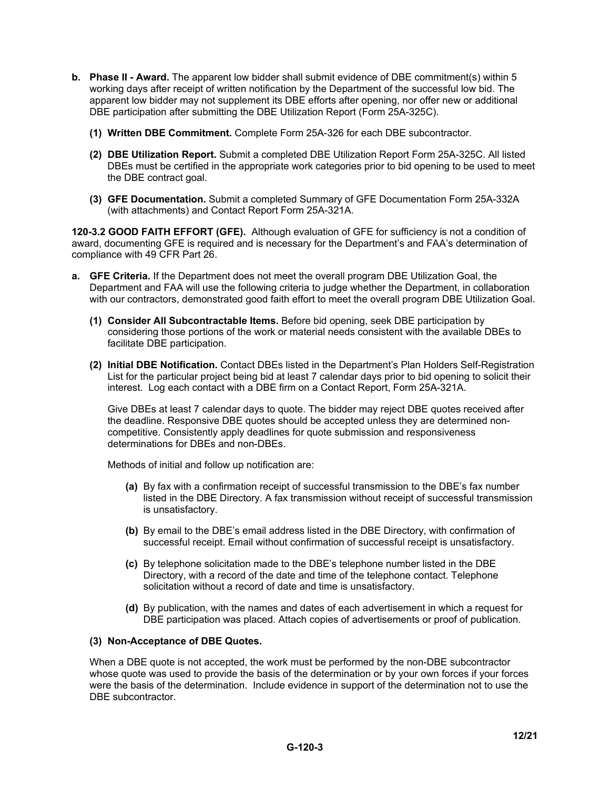- **b.** Phase II Award. The apparent low bidder shall submit evidence of DBE commitment(s) within 5 working days after receipt of written notification by the Department of the successful low bid. The apparent low bidder may not supplement its DBE efforts after opening, nor offer new or additional DBE participation after submitting the DBE Utilization Report (Form 25A-325C).
	- **(1) Written DBE Commitment.** Complete Form 25A-326 for each DBE subcontractor.
	- **(2) DBE Utilization Report.** Submit a completed DBE Utilization Report Form 25A-325C. All listed DBEs must be certified in the appropriate work categories prior to bid opening to be used to meet the DBE contract goal.
	- **(3) GFE Documentation.** Submit a completed Summary of GFE Documentation Form 25A-332A (with attachments) and Contact Report Form 25A-321A.

**120-3.2 GOOD FAITH EFFORT (GFE).** Although evaluation of GFE for sufficiency is not a condition of award, documenting GFE is required and is necessary for the Department's and FAA's determination of compliance with 49 CFR Part 26.

- **a. GFE Criteria.** If the Department does not meet the overall program DBE Utilization Goal, the Department and FAA will use the following criteria to judge whether the Department, in collaboration with our contractors, demonstrated good faith effort to meet the overall program DBE Utilization Goal.
	- **(1) Consider All Subcontractable Items.** Before bid opening, seek DBE participation by considering those portions of the work or material needs consistent with the available DBEs to facilitate DBE participation.
	- **(2) Initial DBE Notification.** Contact DBEs listed in the Department's Plan Holders Self-Registration List for the particular project being bid at least 7 calendar days prior to bid opening to solicit their interest. Log each contact with a DBE firm on a Contact Report, Form 25A-321A.

Give DBEs at least 7 calendar days to quote. The bidder may reject DBE quotes received after the deadline. Responsive DBE quotes should be accepted unless they are determined noncompetitive. Consistently apply deadlines for quote submission and responsiveness determinations for DBEs and non-DBEs.

Methods of initial and follow up notification are:

- **(a)** By fax with a confirmation receipt of successful transmission to the DBE's fax number listed in the DBE Directory. A fax transmission without receipt of successful transmission is unsatisfactory.
- **(b)** By email to the DBE's email address listed in the DBE Directory, with confirmation of successful receipt. Email without confirmation of successful receipt is unsatisfactory.
- **(c)** By telephone solicitation made to the DBE's telephone number listed in the DBE Directory, with a record of the date and time of the telephone contact. Telephone solicitation without a record of date and time is unsatisfactory.
- **(d)** By publication, with the names and dates of each advertisement in which a request for DBE participation was placed. Attach copies of advertisements or proof of publication.

## **(3) Non-Acceptance of DBE Quotes.**

When a DBE quote is not accepted, the work must be performed by the non-DBE subcontractor whose quote was used to provide the basis of the determination or by your own forces if your forces were the basis of the determination. Include evidence in support of the determination not to use the DBE subcontractor.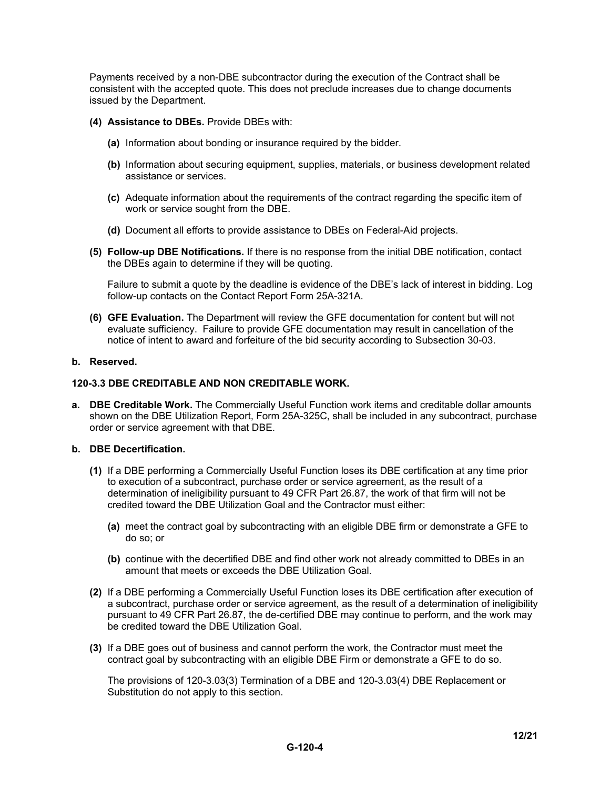Payments received by a non-DBE subcontractor during the execution of the Contract shall be consistent with the accepted quote. This does not preclude increases due to change documents issued by the Department.

- **(4) Assistance to DBEs.** Provide DBEs with:
	- **(a)** Information about bonding or insurance required by the bidder.
	- **(b)** Information about securing equipment, supplies, materials, or business development related assistance or services.
	- **(c)** Adequate information about the requirements of the contract regarding the specific item of work or service sought from the DBE.
	- **(d)** Document all efforts to provide assistance to DBEs on Federal-Aid projects.
- **(5) Follow-up DBE Notifications.** If there is no response from the initial DBE notification, contact the DBEs again to determine if they will be quoting.

Failure to submit a quote by the deadline is evidence of the DBE's lack of interest in bidding. Log follow-up contacts on the Contact Report Form 25A-321A.

**(6) GFE Evaluation.** The Department will review the GFE documentation for content but will not evaluate sufficiency. Failure to provide GFE documentation may result in cancellation of the notice of intent to award and forfeiture of the bid security according to Subsection 30-03.

#### **b. Reserved.**

#### **120-3.3 DBE CREDITABLE AND NON CREDITABLE WORK.**

**a. DBE Creditable Work.** The Commercially Useful Function work items and creditable dollar amounts shown on the DBE Utilization Report, Form 25A-325C, shall be included in any subcontract, purchase order or service agreement with that DBE.

## **b. DBE Decertification.**

- **(1)** If a DBE performing a Commercially Useful Function loses its DBE certification at any time prior to execution of a subcontract, purchase order or service agreement, as the result of a determination of ineligibility pursuant to 49 CFR Part 26.87, the work of that firm will not be credited toward the DBE Utilization Goal and the Contractor must either:
	- **(a)** meet the contract goal by subcontracting with an eligible DBE firm or demonstrate a GFE to do so; or
	- **(b)** continue with the decertified DBE and find other work not already committed to DBEs in an amount that meets or exceeds the DBE Utilization Goal.
- **(2)** If a DBE performing a Commercially Useful Function loses its DBE certification after execution of a subcontract, purchase order or service agreement, as the result of a determination of ineligibility pursuant to 49 CFR Part 26.87, the de-certified DBE may continue to perform, and the work may be credited toward the DBE Utilization Goal.
- **(3)** If a DBE goes out of business and cannot perform the work, the Contractor must meet the contract goal by subcontracting with an eligible DBE Firm or demonstrate a GFE to do so.

The provisions of 120-3.03(3) Termination of a DBE and 120-3.03(4) DBE Replacement or Substitution do not apply to this section.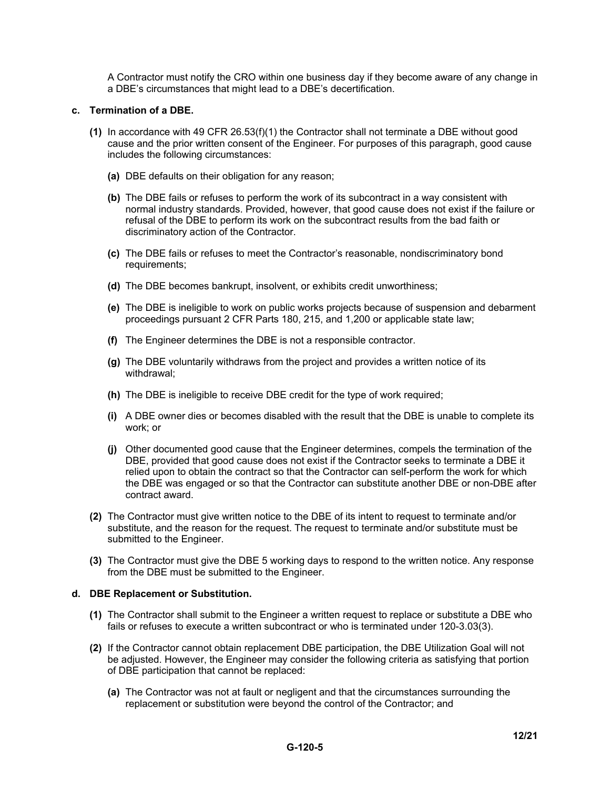A Contractor must notify the CRO within one business day if they become aware of any change in a DBE's circumstances that might lead to a DBE's decertification.

#### **c. Termination of a DBE.**

- **(1)** In accordance with 49 CFR 26.53(f)(1) the Contractor shall not terminate a DBE without good cause and the prior written consent of the Engineer. For purposes of this paragraph, good cause includes the following circumstances:
	- **(a)** DBE defaults on their obligation for any reason;
	- **(b)** The DBE fails or refuses to perform the work of its subcontract in a way consistent with normal industry standards. Provided, however, that good cause does not exist if the failure or refusal of the DBE to perform its work on the subcontract results from the bad faith or discriminatory action of the Contractor.
	- **(c)** The DBE fails or refuses to meet the Contractor's reasonable, nondiscriminatory bond requirements;
	- **(d)** The DBE becomes bankrupt, insolvent, or exhibits credit unworthiness;
	- **(e)** The DBE is ineligible to work on public works projects because of suspension and debarment proceedings pursuant 2 CFR Parts 180, 215, and 1,200 or applicable state law;
	- **(f)** The Engineer determines the DBE is not a responsible contractor.
	- **(g)** The DBE voluntarily withdraws from the project and provides a written notice of its withdrawal;
	- **(h)** The DBE is ineligible to receive DBE credit for the type of work required;
	- **(i)** A DBE owner dies or becomes disabled with the result that the DBE is unable to complete its work; or
	- **(j)** Other documented good cause that the Engineer determines, compels the termination of the DBE, provided that good cause does not exist if the Contractor seeks to terminate a DBE it relied upon to obtain the contract so that the Contractor can self-perform the work for which the DBE was engaged or so that the Contractor can substitute another DBE or non-DBE after contract award.
- **(2)** The Contractor must give written notice to the DBE of its intent to request to terminate and/or substitute, and the reason for the request. The request to terminate and/or substitute must be submitted to the Engineer.
- **(3)** The Contractor must give the DBE 5 working days to respond to the written notice. Any response from the DBE must be submitted to the Engineer.

#### **d. DBE Replacement or Substitution.**

- **(1)** The Contractor shall submit to the Engineer a written request to replace or substitute a DBE who fails or refuses to execute a written subcontract or who is terminated under 120-3.03(3).
- **(2)** If the Contractor cannot obtain replacement DBE participation, the DBE Utilization Goal will not be adjusted. However, the Engineer may consider the following criteria as satisfying that portion of DBE participation that cannot be replaced:
	- **(a)** The Contractor was not at fault or negligent and that the circumstances surrounding the replacement or substitution were beyond the control of the Contractor; and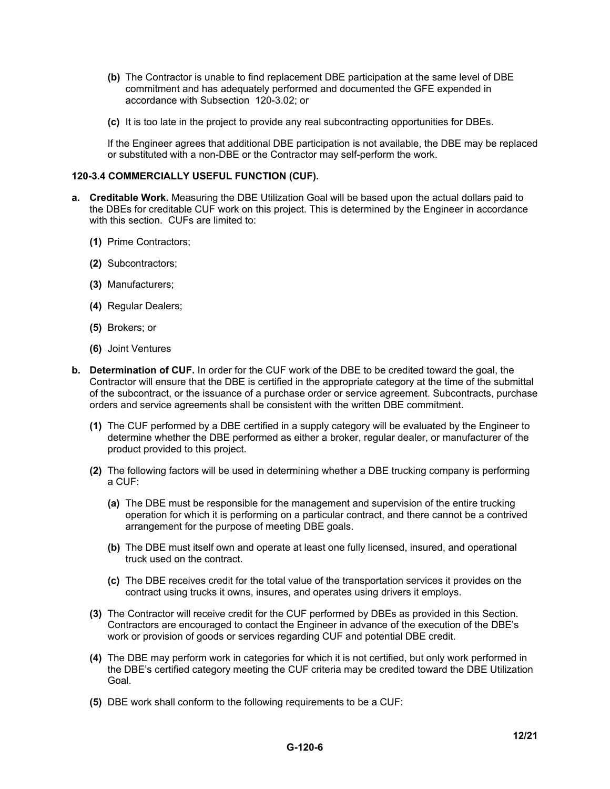- **(b)** The Contractor is unable to find replacement DBE participation at the same level of DBE commitment and has adequately performed and documented the GFE expended in accordance with Subsection 120-3.02; or
- **(c)** It is too late in the project to provide any real subcontracting opportunities for DBEs.

If the Engineer agrees that additional DBE participation is not available, the DBE may be replaced or substituted with a non-DBE or the Contractor may self-perform the work.

## **120-3.4 COMMERCIALLY USEFUL FUNCTION (CUF).**

- **a. Creditable Work.** Measuring the DBE Utilization Goal will be based upon the actual dollars paid to the DBEs for creditable CUF work on this project. This is determined by the Engineer in accordance with this section. CUFs are limited to:
	- **(1)** Prime Contractors;
	- **(2)** Subcontractors;
	- **(3)** Manufacturers;
	- **(4)** Regular Dealers;
	- **(5)** Brokers; or
	- **(6)** Joint Ventures
- **b. Determination of CUF.** In order for the CUF work of the DBE to be credited toward the goal, the Contractor will ensure that the DBE is certified in the appropriate category at the time of the submittal of the subcontract, or the issuance of a purchase order or service agreement. Subcontracts, purchase orders and service agreements shall be consistent with the written DBE commitment.
	- **(1)** The CUF performed by a DBE certified in a supply category will be evaluated by the Engineer to determine whether the DBE performed as either a broker, regular dealer, or manufacturer of the product provided to this project.
	- **(2)** The following factors will be used in determining whether a DBE trucking company is performing a CUF:
		- **(a)** The DBE must be responsible for the management and supervision of the entire trucking operation for which it is performing on a particular contract, and there cannot be a contrived arrangement for the purpose of meeting DBE goals.
		- **(b)** The DBE must itself own and operate at least one fully licensed, insured, and operational truck used on the contract.
		- **(c)** The DBE receives credit for the total value of the transportation services it provides on the contract using trucks it owns, insures, and operates using drivers it employs.
	- **(3)** The Contractor will receive credit for the CUF performed by DBEs as provided in this Section. Contractors are encouraged to contact the Engineer in advance of the execution of the DBE's work or provision of goods or services regarding CUF and potential DBE credit.
	- **(4)** The DBE may perform work in categories for which it is not certified, but only work performed in the DBE's certified category meeting the CUF criteria may be credited toward the DBE Utilization Goal.
	- **(5)** DBE work shall conform to the following requirements to be a CUF: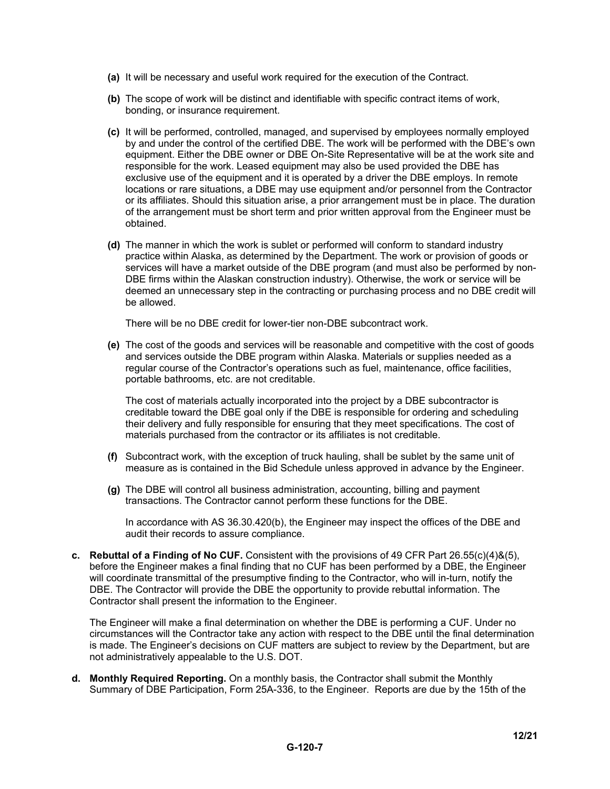- **(a)** It will be necessary and useful work required for the execution of the Contract.
- **(b)** The scope of work will be distinct and identifiable with specific contract items of work, bonding, or insurance requirement.
- **(c)** It will be performed, controlled, managed, and supervised by employees normally employed by and under the control of the certified DBE. The work will be performed with the DBE's own equipment. Either the DBE owner or DBE On-Site Representative will be at the work site and responsible for the work. Leased equipment may also be used provided the DBE has exclusive use of the equipment and it is operated by a driver the DBE employs. In remote locations or rare situations, a DBE may use equipment and/or personnel from the Contractor or its affiliates. Should this situation arise, a prior arrangement must be in place. The duration of the arrangement must be short term and prior written approval from the Engineer must be obtained.
- **(d)** The manner in which the work is sublet or performed will conform to standard industry practice within Alaska, as determined by the Department. The work or provision of goods or services will have a market outside of the DBE program (and must also be performed by non-DBE firms within the Alaskan construction industry). Otherwise, the work or service will be deemed an unnecessary step in the contracting or purchasing process and no DBE credit will be allowed.

There will be no DBE credit for lower-tier non-DBE subcontract work.

**(e)** The cost of the goods and services will be reasonable and competitive with the cost of goods and services outside the DBE program within Alaska. Materials or supplies needed as a regular course of the Contractor's operations such as fuel, maintenance, office facilities, portable bathrooms, etc. are not creditable.

The cost of materials actually incorporated into the project by a DBE subcontractor is creditable toward the DBE goal only if the DBE is responsible for ordering and scheduling their delivery and fully responsible for ensuring that they meet specifications. The cost of materials purchased from the contractor or its affiliates is not creditable.

- **(f)** Subcontract work, with the exception of truck hauling, shall be sublet by the same unit of measure as is contained in the Bid Schedule unless approved in advance by the Engineer.
- **(g)** The DBE will control all business administration, accounting, billing and payment transactions. The Contractor cannot perform these functions for the DBE.

In accordance with AS 36.30.420(b), the Engineer may inspect the offices of the DBE and audit their records to assure compliance.

**c. Rebuttal of a Finding of No CUF.** Consistent with the provisions of 49 CFR Part 26.55(c)(4)&(5), before the Engineer makes a final finding that no CUF has been performed by a DBE, the Engineer will coordinate transmittal of the presumptive finding to the Contractor, who will in-turn, notify the DBE. The Contractor will provide the DBE the opportunity to provide rebuttal information. The Contractor shall present the information to the Engineer.

The Engineer will make a final determination on whether the DBE is performing a CUF. Under no circumstances will the Contractor take any action with respect to the DBE until the final determination is made. The Engineer's decisions on CUF matters are subject to review by the Department, but are not administratively appealable to the U.S. DOT.

**d. Monthly Required Reporting.** On a monthly basis, the Contractor shall submit the Monthly Summary of DBE Participation, Form 25A-336, to the Engineer. Reports are due by the 15th of the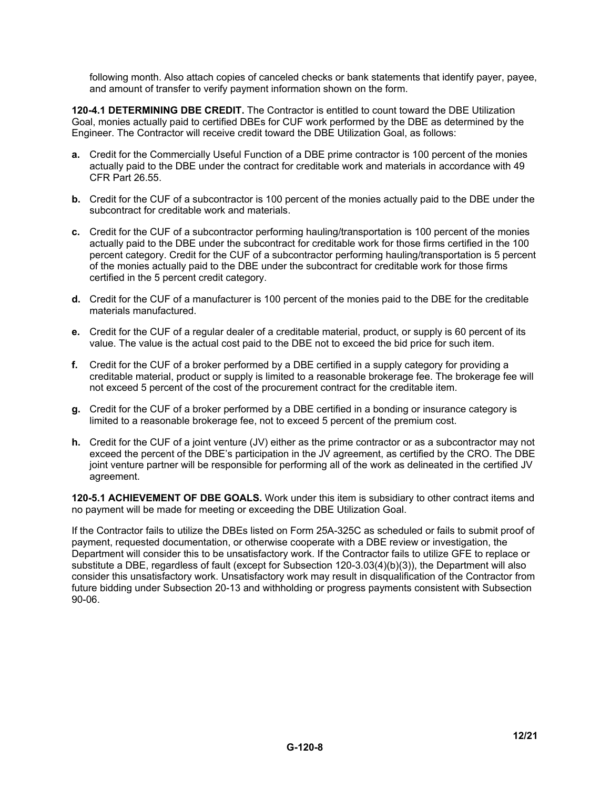following month. Also attach copies of canceled checks or bank statements that identify payer, payee, and amount of transfer to verify payment information shown on the form.

**120-4.1 DETERMINING DBE CREDIT.** The Contractor is entitled to count toward the DBE Utilization Goal, monies actually paid to certified DBEs for CUF work performed by the DBE as determined by the Engineer. The Contractor will receive credit toward the DBE Utilization Goal, as follows:

- **a.** Credit for the Commercially Useful Function of a DBE prime contractor is 100 percent of the monies actually paid to the DBE under the contract for creditable work and materials in accordance with 49 CFR Part 26.55.
- **b.** Credit for the CUF of a subcontractor is 100 percent of the monies actually paid to the DBE under the subcontract for creditable work and materials.
- **c.** Credit for the CUF of a subcontractor performing hauling/transportation is 100 percent of the monies actually paid to the DBE under the subcontract for creditable work for those firms certified in the 100 percent category. Credit for the CUF of a subcontractor performing hauling/transportation is 5 percent of the monies actually paid to the DBE under the subcontract for creditable work for those firms certified in the 5 percent credit category.
- **d.** Credit for the CUF of a manufacturer is 100 percent of the monies paid to the DBE for the creditable materials manufactured.
- **e.** Credit for the CUF of a regular dealer of a creditable material, product, or supply is 60 percent of its value. The value is the actual cost paid to the DBE not to exceed the bid price for such item.
- **f.** Credit for the CUF of a broker performed by a DBE certified in a supply category for providing a creditable material, product or supply is limited to a reasonable brokerage fee. The brokerage fee will not exceed 5 percent of the cost of the procurement contract for the creditable item.
- **g.** Credit for the CUF of a broker performed by a DBE certified in a bonding or insurance category is limited to a reasonable brokerage fee, not to exceed 5 percent of the premium cost.
- **h.** Credit for the CUF of a joint venture (JV) either as the prime contractor or as a subcontractor may not exceed the percent of the DBE's participation in the JV agreement, as certified by the CRO. The DBE joint venture partner will be responsible for performing all of the work as delineated in the certified JV agreement.

**120-5.1 ACHIEVEMENT OF DBE GOALS.** Work under this item is subsidiary to other contract items and no payment will be made for meeting or exceeding the DBE Utilization Goal.

If the Contractor fails to utilize the DBEs listed on Form 25A-325C as scheduled or fails to submit proof of payment, requested documentation, or otherwise cooperate with a DBE review or investigation, the Department will consider this to be unsatisfactory work. If the Contractor fails to utilize GFE to replace or substitute a DBE, regardless of fault (except for Subsection 120-3.03(4)(b)(3)), the Department will also consider this unsatisfactory work. Unsatisfactory work may result in disqualification of the Contractor from future bidding under Subsection 20-13 and withholding or progress payments consistent with Subsection 90-06.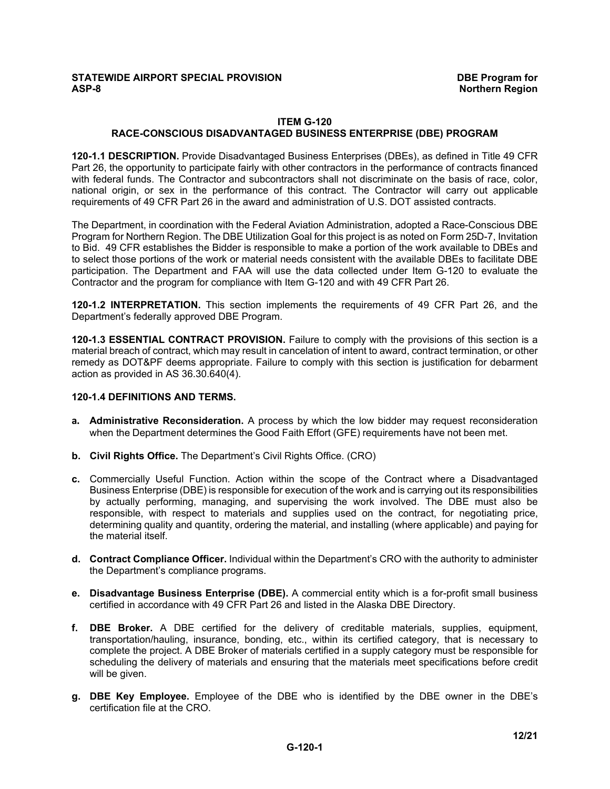# **STATEWIDE AIRPORT SPECIAL PROVISION DBE Program for**

#### **ITEM G-120 RACE-CONSCIOUS DISADVANTAGED BUSINESS ENTERPRISE (DBE) PROGRAM**

**120-1.1 DESCRIPTION.** Provide Disadvantaged Business Enterprises (DBEs), as defined in Title 49 CFR Part 26, the opportunity to participate fairly with other contractors in the performance of contracts financed with federal funds. The Contractor and subcontractors shall not discriminate on the basis of race, color, national origin, or sex in the performance of this contract. The Contractor will carry out applicable requirements of 49 CFR Part 26 in the award and administration of U.S. DOT assisted contracts.

The Department, in coordination with the Federal Aviation Administration, adopted a Race-Conscious DBE Program for Northern Region. The DBE Utilization Goal for this project is as noted on Form 25D-7, Invitation to Bid. 49 CFR establishes the Bidder is responsible to make a portion of the work available to DBEs and to select those portions of the work or material needs consistent with the available DBEs to facilitate DBE participation. The Department and FAA will use the data collected under Item G-120 to evaluate the Contractor and the program for compliance with Item G-120 and with 49 CFR Part 26.

**120-1.2 INTERPRETATION.** This section implements the requirements of 49 CFR Part 26, and the Department's federally approved DBE Program.

**120-1.3 ESSENTIAL CONTRACT PROVISION.** Failure to comply with the provisions of this section is a material breach of contract, which may result in cancelation of intent to award, contract termination, or other remedy as DOT&PF deems appropriate. Failure to comply with this section is justification for debarment action as provided in AS 36.30.640(4).

#### **120-1.4 DEFINITIONS AND TERMS.**

- **a. Administrative Reconsideration.** A process by which the low bidder may request reconsideration when the Department determines the Good Faith Effort (GFE) requirements have not been met.
- **b. Civil Rights Office.** The Department's Civil Rights Office. (CRO)
- **c.** Commercially Useful Function. Action within the scope of the Contract where a Disadvantaged Business Enterprise (DBE) is responsible for execution of the work and is carrying out its responsibilities by actually performing, managing, and supervising the work involved. The DBE must also be responsible, with respect to materials and supplies used on the contract, for negotiating price, determining quality and quantity, ordering the material, and installing (where applicable) and paying for the material itself.
- **d. Contract Compliance Officer.** Individual within the Department's CRO with the authority to administer the Department's compliance programs.
- **e. Disadvantage Business Enterprise (DBE).** A commercial entity which is a for-profit small business certified in accordance with 49 CFR Part 26 and listed in the Alaska DBE Directory.
- **f. DBE Broker.** A DBE certified for the delivery of creditable materials, supplies, equipment, transportation/hauling, insurance, bonding, etc., within its certified category, that is necessary to complete the project. A DBE Broker of materials certified in a supply category must be responsible for scheduling the delivery of materials and ensuring that the materials meet specifications before credit will be given.
- **g. DBE Key Employee.** Employee of the DBE who is identified by the DBE owner in the DBE's certification file at the CRO.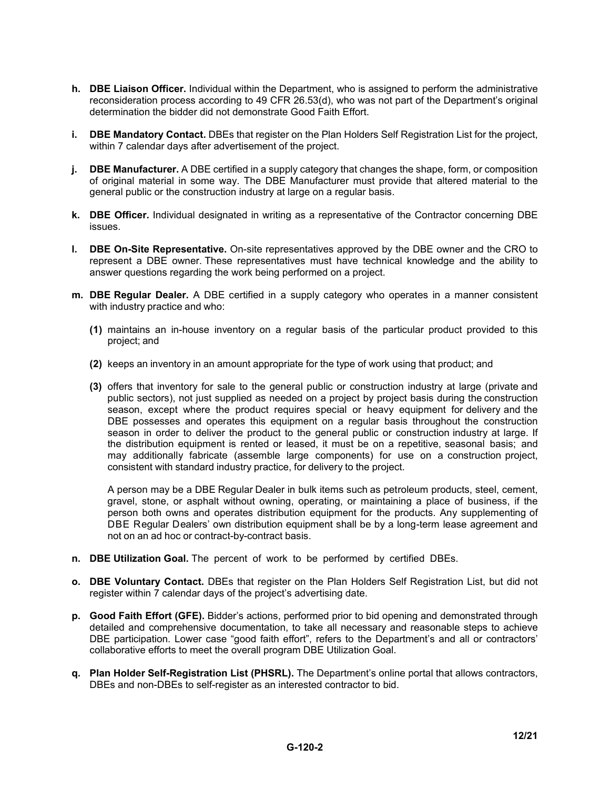- **h. DBE Liaison Officer.** Individual within the Department, who is assigned to perform the administrative reconsideration process according to 49 CFR 26.53(d), who was not part of the Department's original determination the bidder did not demonstrate Good Faith Effort.
- **i. DBE Mandatory Contact.** DBEs that register on the Plan Holders Self Registration List for the project, within 7 calendar days after advertisement of the project.
- **j. DBE Manufacturer.** A DBE certified in a supply category that changes the shape, form, or composition of original material in some way. The DBE Manufacturer must provide that altered material to the general public or the construction industry at large on a regular basis.
- **k. DBE Officer.** Individual designated in writing as a representative of the Contractor concerning DBE issues.
- **l. DBE On-Site Representative.** On-site representatives approved by the DBE owner and the CRO to represent a DBE owner. These representatives must have technical knowledge and the ability to answer questions regarding the work being performed on a project.
- **m. DBE Regular Dealer.** A DBE certified in a supply category who operates in a manner consistent with industry practice and who:
	- **(1)** maintains an in-house inventory on a regular basis of the particular product provided to this project; and
	- **(2)** keeps an inventory in an amount appropriate for the type of work using that product; and
	- **(3)** offers that inventory for sale to the general public or construction industry at large (private and public sectors), not just supplied as needed on a project by project basis during the construction season, except where the product requires special or heavy equipment for delivery and the DBE possesses and operates this equipment on a regular basis throughout the construction season in order to deliver the product to the general public or construction industry at large. If the distribution equipment is rented or leased, it must be on a repetitive, seasonal basis; and may additionally fabricate (assemble large components) for use on a construction project, consistent with standard industry practice, for delivery to the project.

A person may be a DBE Regular Dealer in bulk items such as petroleum products, steel, cement, gravel, stone, or asphalt without owning, operating, or maintaining a place of business, if the person both owns and operates distribution equipment for the products. Any supplementing of DBE Regular Dealers' own distribution equipment shall be by a long-term lease agreement and not on an ad hoc or contract-by-contract basis.

- **n. DBE Utilization Goal.** The percent of work to be performed by certified DBEs.
- **o. DBE Voluntary Contact.** DBEs that register on the Plan Holders Self Registration List, but did not register within 7 calendar days of the project's advertising date.
- **p. Good Faith Effort (GFE).** Bidder's actions, performed prior to bid opening and demonstrated through detailed and comprehensive documentation, to take all necessary and reasonable steps to achieve DBE participation. Lower case "good faith effort", refers to the Department's and all or contractors' collaborative efforts to meet the overall program DBE Utilization Goal.
- **q. Plan Holder Self-Registration List (PHSRL).** The Department's online portal that allows contractors, DBEs and non-DBEs to self-register as an interested contractor to bid.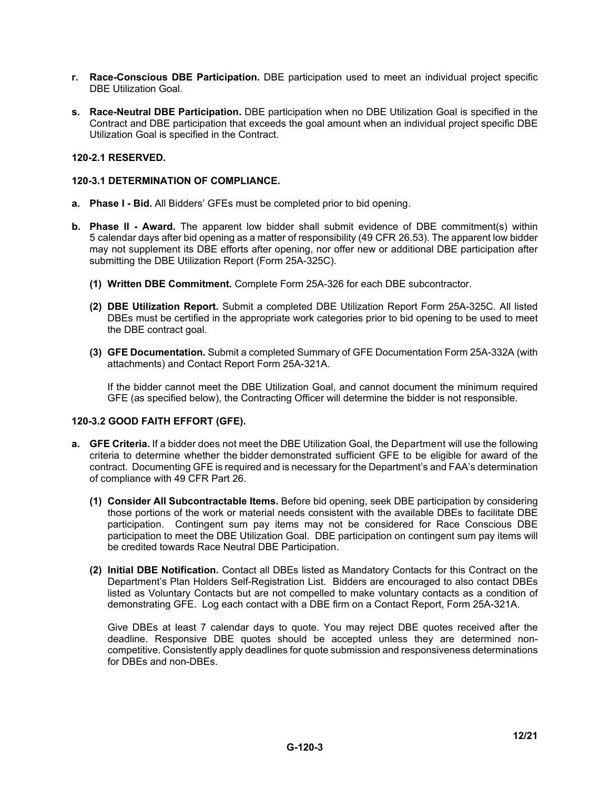- **r. Race-Conscious DBE Participation.** DBE participation used to meet an individual project specific DBE Utilization Goal.
- **s. Race-Neutral DBE Participation.** DBE participation when no DBE Utilization Goal is specified in the Contract and DBE participation that exceeds the goal amount when an individual project specific DBE Utilization Goal is specified in the Contract.

## **120-2.1 RESERVED.**

#### **120-3.1 DETERMINATION OF COMPLIANCE.**

- **a. Phase I Bid.** All Bidders' GFEs must be completed prior to bid opening.
- **b. Phase II Award.** The apparent low bidder shall submit evidence of DBE commitment(s) within 5 calendar days after bid opening as a matter of responsibility (49 CFR 26.53). The apparent low bidder may not supplement its DBE efforts after opening, nor offer new or additional DBE participation after submitting the DBE Utilization Report (Form 25A-325C).
	- **(1) Written DBE Commitment.** Complete Form 25A-326 for each DBE subcontractor.
	- **(2) DBE Utilization Report.** Submit a completed DBE Utilization Report Form 25A-325C. All listed DBEs must be certified in the appropriate work categories prior to bid opening to be used to meet the DBE contract goal.
	- **(3) GFE Documentation.** Submit a completed Summary of GFE Documentation Form 25A-332A (with attachments) and Contact Report Form 25A-321A.

If the bidder cannot meet the DBE Utilization Goal, and cannot document the minimum required GFE (as specified below), the Contracting Officer will determine the bidder is not responsible.

## **120-3.2 GOOD FAITH EFFORT (GFE).**

- **a. GFE Criteria.** If a bidder does not meet the DBE Utilization Goal, the Department will use the following criteria to determine whether the bidder demonstrated sufficient GFE to be eligible for award of the contract. Documenting GFE is required and is necessary for the Department's and FAA's determination of compliance with 49 CFR Part 26.
	- **(1) Consider All Subcontractable Items.** Before bid opening, seek DBE participation by considering those portions of the work or material needs consistent with the available DBEs to facilitate DBE participation. Contingent sum pay items may not be considered for Race Conscious DBE participation to meet the DBE Utilization Goal. DBE participation on contingent sum pay items will be credited towards Race Neutral DBE Participation.
	- **(2) Initial DBE Notification.** Contact all DBEs listed as Mandatory Contacts for this Contract on the Department's Plan Holders Self-Registration List. Bidders are encouraged to also contact DBEs listed as Voluntary Contacts but are not compelled to make voluntary contacts as a condition of demonstrating GFE. Log each contact with a DBE firm on a Contact Report, Form 25A-321A.

Give DBEs at least 7 calendar days to quote. You may reject DBE quotes received after the deadline. Responsive DBE quotes should be accepted unless they are determined noncompetitive. Consistently apply deadlines for quote submission and responsiveness determinations for DBEs and non-DBEs.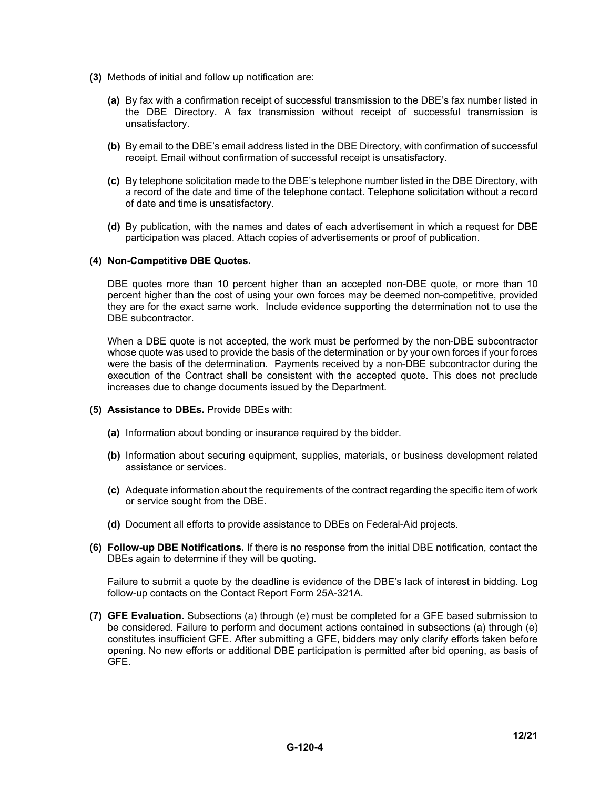- **(3)** Methods of initial and follow up notification are:
	- **(a)** By fax with a confirmation receipt of successful transmission to the DBE's fax number listed in the DBE Directory. A fax transmission without receipt of successful transmission is unsatisfactory.
	- **(b)** By email to the DBE's email address listed in the DBE Directory, with confirmation of successful receipt. Email without confirmation of successful receipt is unsatisfactory.
	- **(c)** By telephone solicitation made to the DBE's telephone number listed in the DBE Directory, with a record of the date and time of the telephone contact. Telephone solicitation without a record of date and time is unsatisfactory.
	- **(d)** By publication, with the names and dates of each advertisement in which a request for DBE participation was placed. Attach copies of advertisements or proof of publication.

#### **(4) Non-Competitive DBE Quotes.**

DBE quotes more than 10 percent higher than an accepted non-DBE quote, or more than 10 percent higher than the cost of using your own forces may be deemed non-competitive, provided they are for the exact same work. Include evidence supporting the determination not to use the DBE subcontractor.

When a DBE quote is not accepted, the work must be performed by the non-DBE subcontractor whose quote was used to provide the basis of the determination or by your own forces if your forces were the basis of the determination. Payments received by a non-DBE subcontractor during the execution of the Contract shall be consistent with the accepted quote. This does not preclude increases due to change documents issued by the Department.

- **(5) Assistance to DBEs.** Provide DBEs with:
	- **(a)** Information about bonding or insurance required by the bidder.
	- **(b)** Information about securing equipment, supplies, materials, or business development related assistance or services.
	- **(c)** Adequate information about the requirements of the contract regarding the specific item of work or service sought from the DBE.
	- **(d)** Document all efforts to provide assistance to DBEs on Federal-Aid projects.
- **(6) Follow-up DBE Notifications.** If there is no response from the initial DBE notification, contact the DBEs again to determine if they will be quoting.

Failure to submit a quote by the deadline is evidence of the DBE's lack of interest in bidding. Log follow-up contacts on the Contact Report Form 25A-321A.

**(7) GFE Evaluation.** Subsections (a) through (e) must be completed for a GFE based submission to be considered. Failure to perform and document actions contained in subsections (a) through (e) constitutes insufficient GFE. After submitting a GFE, bidders may only clarify efforts taken before opening. No new efforts or additional DBE participation is permitted after bid opening, as basis of GFE.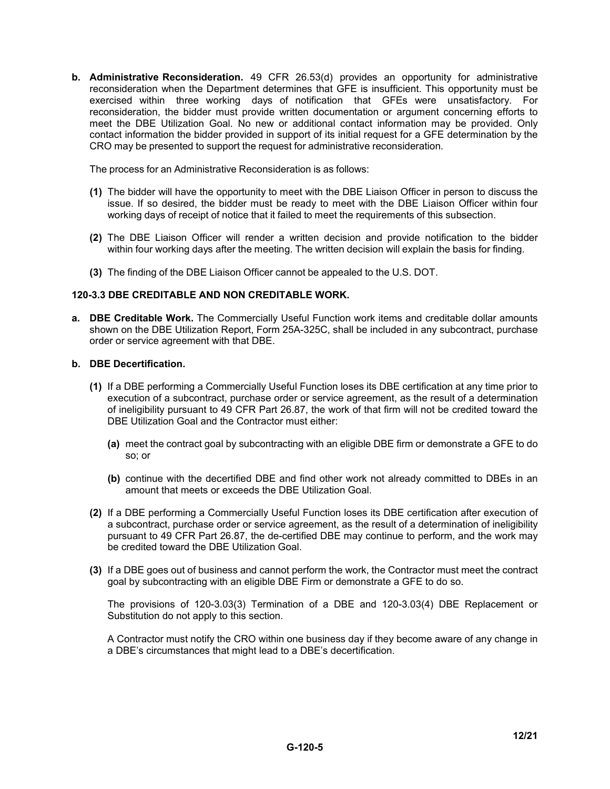**b. Administrative Reconsideration.** 49 CFR 26.53(d) provides an opportunity for administrative reconsideration when the Department determines that GFE is insufficient. This opportunity must be exercised within three working days of notification that GFEs were unsatisfactory. For reconsideration, the bidder must provide written documentation or argument concerning efforts to meet the DBE Utilization Goal. No new or additional contact information may be provided. Only contact information the bidder provided in support of its initial request for a GFE determination by the CRO may be presented to support the request for administrative reconsideration.

The process for an Administrative Reconsideration is as follows:

- **(1)** The bidder will have the opportunity to meet with the DBE Liaison Officer in person to discuss the issue. If so desired, the bidder must be ready to meet with the DBE Liaison Officer within four working days of receipt of notice that it failed to meet the requirements of this subsection.
- **(2)** The DBE Liaison Officer will render a written decision and provide notification to the bidder within four working days after the meeting. The written decision will explain the basis for finding.
- **(3)** The finding of the DBE Liaison Officer cannot be appealed to the U.S. DOT.

#### **120-3.3 DBE CREDITABLE AND NON CREDITABLE WORK.**

**a. DBE Creditable Work.** The Commercially Useful Function work items and creditable dollar amounts shown on the DBE Utilization Report, Form 25A-325C, shall be included in any subcontract, purchase order or service agreement with that DBE.

#### **b. DBE Decertification.**

- **(1)** If a DBE performing a Commercially Useful Function loses its DBE certification at any time prior to execution of a subcontract, purchase order or service agreement, as the result of a determination of ineligibility pursuant to 49 CFR Part 26.87, the work of that firm will not be credited toward the DBE Utilization Goal and the Contractor must either:
	- **(a)** meet the contract goal by subcontracting with an eligible DBE firm or demonstrate a GFE to do so; or
	- **(b)** continue with the decertified DBE and find other work not already committed to DBEs in an amount that meets or exceeds the DBE Utilization Goal.
- **(2)** If a DBE performing a Commercially Useful Function loses its DBE certification after execution of a subcontract, purchase order or service agreement, as the result of a determination of ineligibility pursuant to 49 CFR Part 26.87, the de-certified DBE may continue to perform, and the work may be credited toward the DBE Utilization Goal.
- **(3)** If a DBE goes out of business and cannot perform the work, the Contractor must meet the contract goal by subcontracting with an eligible DBE Firm or demonstrate a GFE to do so.

The provisions of 120-3.03(3) Termination of a DBE and 120-3.03(4) DBE Replacement or Substitution do not apply to this section.

A Contractor must notify the CRO within one business day if they become aware of any change in a DBE's circumstances that might lead to a DBE's decertification.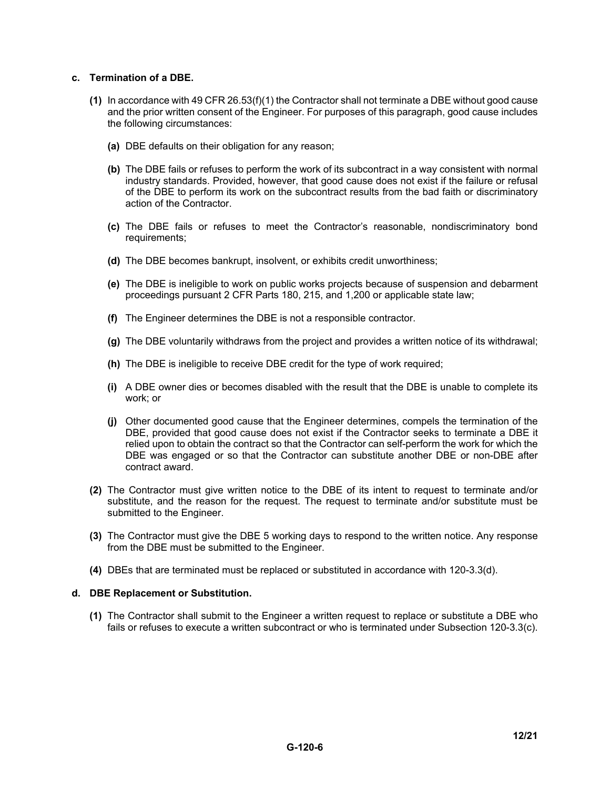#### **c. Termination of a DBE.**

- **(1)** In accordance with 49 CFR 26.53(f)(1) the Contractor shall not terminate a DBE without good cause and the prior written consent of the Engineer. For purposes of this paragraph, good cause includes the following circumstances:
	- **(a)** DBE defaults on their obligation for any reason;
	- **(b)** The DBE fails or refuses to perform the work of its subcontract in a way consistent with normal industry standards. Provided, however, that good cause does not exist if the failure or refusal of the DBE to perform its work on the subcontract results from the bad faith or discriminatory action of the Contractor.
	- **(c)** The DBE fails or refuses to meet the Contractor's reasonable, nondiscriminatory bond requirements;
	- **(d)** The DBE becomes bankrupt, insolvent, or exhibits credit unworthiness;
	- **(e)** The DBE is ineligible to work on public works projects because of suspension and debarment proceedings pursuant 2 CFR Parts 180, 215, and 1,200 or applicable state law;
	- **(f)** The Engineer determines the DBE is not a responsible contractor.
	- **(g)** The DBE voluntarily withdraws from the project and provides a written notice of its withdrawal;
	- **(h)** The DBE is ineligible to receive DBE credit for the type of work required;
	- **(i)** A DBE owner dies or becomes disabled with the result that the DBE is unable to complete its work; or
	- **(j)** Other documented good cause that the Engineer determines, compels the termination of the DBE, provided that good cause does not exist if the Contractor seeks to terminate a DBE it relied upon to obtain the contract so that the Contractor can self-perform the work for which the DBE was engaged or so that the Contractor can substitute another DBE or non-DBE after contract award.
- **(2)** The Contractor must give written notice to the DBE of its intent to request to terminate and/or substitute, and the reason for the request. The request to terminate and/or substitute must be submitted to the Engineer.
- **(3)** The Contractor must give the DBE 5 working days to respond to the written notice. Any response from the DBE must be submitted to the Engineer.
- **(4)** DBEs that are terminated must be replaced or substituted in accordance with 120-3.3(d).

#### **d. DBE Replacement or Substitution.**

**(1)** The Contractor shall submit to the Engineer a written request to replace or substitute a DBE who fails or refuses to execute a written subcontract or who is terminated under Subsection 120-3.3(c).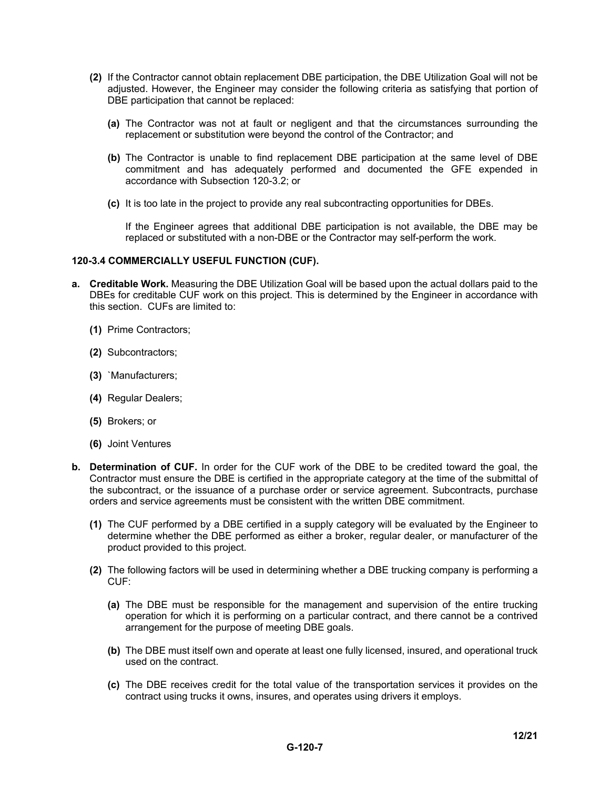- **(2)** If the Contractor cannot obtain replacement DBE participation, the DBE Utilization Goal will not be adjusted. However, the Engineer may consider the following criteria as satisfying that portion of DBE participation that cannot be replaced:
	- **(a)** The Contractor was not at fault or negligent and that the circumstances surrounding the replacement or substitution were beyond the control of the Contractor; and
	- **(b)** The Contractor is unable to find replacement DBE participation at the same level of DBE commitment and has adequately performed and documented the GFE expended in accordance with Subsection 120-3.2; or
	- **(c)** It is too late in the project to provide any real subcontracting opportunities for DBEs.

If the Engineer agrees that additional DBE participation is not available, the DBE may be replaced or substituted with a non-DBE or the Contractor may self-perform the work.

#### **120-3.4 COMMERCIALLY USEFUL FUNCTION (CUF).**

- **a. Creditable Work.** Measuring the DBE Utilization Goal will be based upon the actual dollars paid to the DBEs for creditable CUF work on this project. This is determined by the Engineer in accordance with this section. CUFs are limited to:
	- **(1)** Prime Contractors;
	- **(2)** Subcontractors;
	- **(3)** `Manufacturers;
	- **(4)** Regular Dealers;
	- **(5)** Brokers; or
	- **(6)** Joint Ventures
- **b. Determination of CUF.** In order for the CUF work of the DBE to be credited toward the goal, the Contractor must ensure the DBE is certified in the appropriate category at the time of the submittal of the subcontract, or the issuance of a purchase order or service agreement. Subcontracts, purchase orders and service agreements must be consistent with the written DBE commitment.
	- **(1)** The CUF performed by a DBE certified in a supply category will be evaluated by the Engineer to determine whether the DBE performed as either a broker, regular dealer, or manufacturer of the product provided to this project.
	- **(2)** The following factors will be used in determining whether a DBE trucking company is performing a CUF:
		- **(a)** The DBE must be responsible for the management and supervision of the entire trucking operation for which it is performing on a particular contract, and there cannot be a contrived arrangement for the purpose of meeting DBE goals.
		- **(b)** The DBE must itself own and operate at least one fully licensed, insured, and operational truck used on the contract.
		- **(c)** The DBE receives credit for the total value of the transportation services it provides on the contract using trucks it owns, insures, and operates using drivers it employs.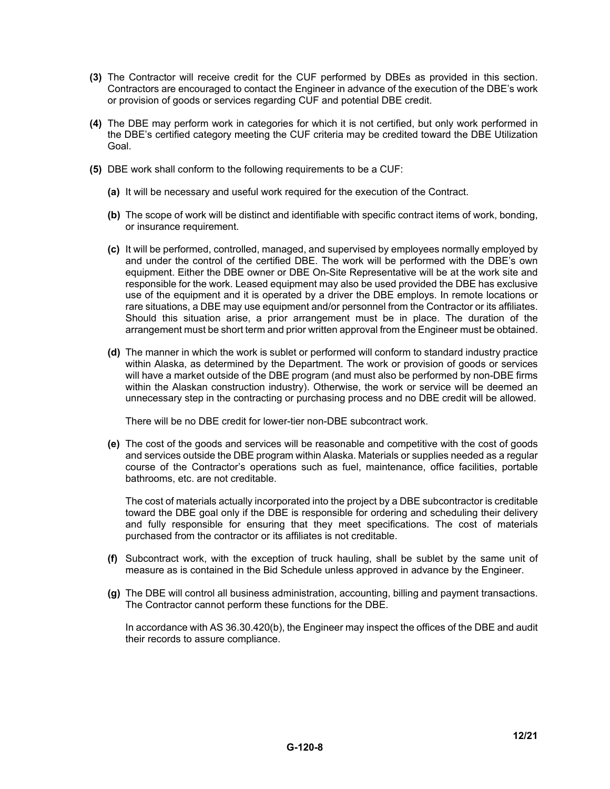- **(3)** The Contractor will receive credit for the CUF performed by DBEs as provided in this section. Contractors are encouraged to contact the Engineer in advance of the execution of the DBE's work or provision of goods or services regarding CUF and potential DBE credit.
- **(4)** The DBE may perform work in categories for which it is not certified, but only work performed in the DBE's certified category meeting the CUF criteria may be credited toward the DBE Utilization Goal.
- **(5)** DBE work shall conform to the following requirements to be a CUF:
	- **(a)** It will be necessary and useful work required for the execution of the Contract.
	- **(b)** The scope of work will be distinct and identifiable with specific contract items of work, bonding, or insurance requirement.
	- **(c)** It will be performed, controlled, managed, and supervised by employees normally employed by and under the control of the certified DBE. The work will be performed with the DBE's own equipment. Either the DBE owner or DBE On-Site Representative will be at the work site and responsible for the work. Leased equipment may also be used provided the DBE has exclusive use of the equipment and it is operated by a driver the DBE employs. In remote locations or rare situations, a DBE may use equipment and/or personnel from the Contractor or its affiliates. Should this situation arise, a prior arrangement must be in place. The duration of the arrangement must be short term and prior written approval from the Engineer must be obtained.
	- **(d)** The manner in which the work is sublet or performed will conform to standard industry practice within Alaska, as determined by the Department. The work or provision of goods or services will have a market outside of the DBE program (and must also be performed by non-DBE firms within the Alaskan construction industry). Otherwise, the work or service will be deemed an unnecessary step in the contracting or purchasing process and no DBE credit will be allowed.

There will be no DBE credit for lower-tier non-DBE subcontract work.

**(e)** The cost of the goods and services will be reasonable and competitive with the cost of goods and services outside the DBE program within Alaska. Materials or supplies needed as a regular course of the Contractor's operations such as fuel, maintenance, office facilities, portable bathrooms, etc. are not creditable.

The cost of materials actually incorporated into the project by a DBE subcontractor is creditable toward the DBE goal only if the DBE is responsible for ordering and scheduling their delivery and fully responsible for ensuring that they meet specifications. The cost of materials purchased from the contractor or its affiliates is not creditable.

- **(f)** Subcontract work, with the exception of truck hauling, shall be sublet by the same unit of measure as is contained in the Bid Schedule unless approved in advance by the Engineer.
- **(g)** The DBE will control all business administration, accounting, billing and payment transactions. The Contractor cannot perform these functions for the DBE.

In accordance with AS 36.30.420(b), the Engineer may inspect the offices of the DBE and audit their records to assure compliance.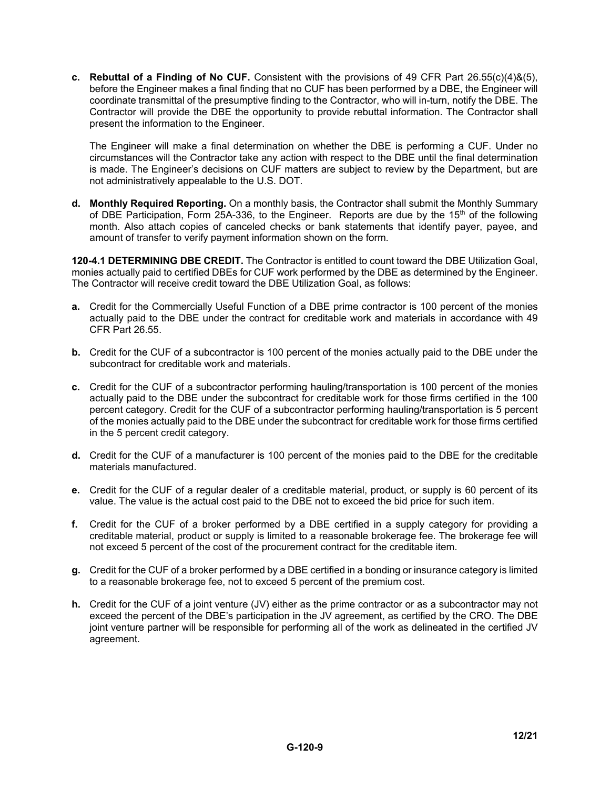**c. Rebuttal of a Finding of No CUF.** Consistent with the provisions of 49 CFR Part 26.55(c)(4)&(5), before the Engineer makes a final finding that no CUF has been performed by a DBE, the Engineer will coordinate transmittal of the presumptive finding to the Contractor, who will in-turn, notify the DBE. The Contractor will provide the DBE the opportunity to provide rebuttal information. The Contractor shall present the information to the Engineer.

The Engineer will make a final determination on whether the DBE is performing a CUF. Under no circumstances will the Contractor take any action with respect to the DBE until the final determination is made. The Engineer's decisions on CUF matters are subject to review by the Department, but are not administratively appealable to the U.S. DOT.

**d. Monthly Required Reporting.** On a monthly basis, the Contractor shall submit the Monthly Summary of DBE Participation, Form 25A-336, to the Engineer. Reports are due by the 15<sup>th</sup> of the following month. Also attach copies of canceled checks or bank statements that identify payer, payee, and amount of transfer to verify payment information shown on the form.

**120-4.1 DETERMINING DBE CREDIT.** The Contractor is entitled to count toward the DBE Utilization Goal, monies actually paid to certified DBEs for CUF work performed by the DBE as determined by the Engineer. The Contractor will receive credit toward the DBE Utilization Goal, as follows:

- **a.** Credit for the Commercially Useful Function of a DBE prime contractor is 100 percent of the monies actually paid to the DBE under the contract for creditable work and materials in accordance with 49 CFR Part 26.55.
- **b.** Credit for the CUF of a subcontractor is 100 percent of the monies actually paid to the DBE under the subcontract for creditable work and materials.
- **c.** Credit for the CUF of a subcontractor performing hauling/transportation is 100 percent of the monies actually paid to the DBE under the subcontract for creditable work for those firms certified in the 100 percent category. Credit for the CUF of a subcontractor performing hauling/transportation is 5 percent of the monies actually paid to the DBE under the subcontract for creditable work for those firms certified in the 5 percent credit category.
- **d.** Credit for the CUF of a manufacturer is 100 percent of the monies paid to the DBE for the creditable materials manufactured.
- **e.** Credit for the CUF of a regular dealer of a creditable material, product, or supply is 60 percent of its value. The value is the actual cost paid to the DBE not to exceed the bid price for such item.
- **f.** Credit for the CUF of a broker performed by a DBE certified in a supply category for providing a creditable material, product or supply is limited to a reasonable brokerage fee. The brokerage fee will not exceed 5 percent of the cost of the procurement contract for the creditable item.
- **g.** Credit for the CUF of a broker performed by a DBE certified in a bonding or insurance category is limited to a reasonable brokerage fee, not to exceed 5 percent of the premium cost.
- **h.** Credit for the CUF of a joint venture (JV) either as the prime contractor or as a subcontractor may not exceed the percent of the DBE's participation in the JV agreement, as certified by the CRO. The DBE joint venture partner will be responsible for performing all of the work as delineated in the certified JV agreement.